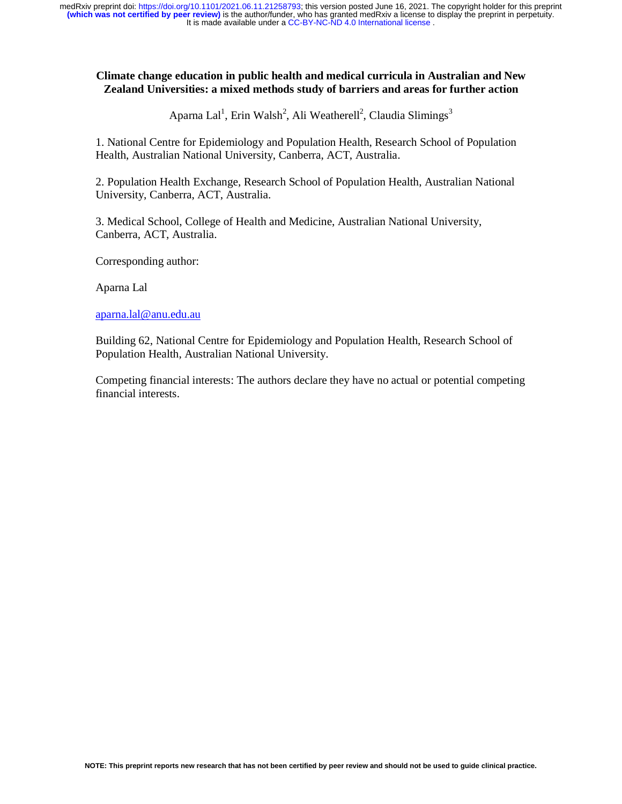#### **Climate change education in public health and medical curricula in Australian and New Zealand Universities: a mixed methods study of barriers and areas for further action**

Aparna Lal<sup>1</sup>, Erin Walsh<sup>2</sup>, Ali Weatherell<sup>2</sup>, Claudia Slimings<sup>3</sup>

1. National Centre for Epidemiology and Population Health, Research School of Population Health, Australian National University, Canberra, ACT, Australia.

2. Population Health Exchange, Research School of Population Health, Australian National University, Canberra, ACT, Australia.

3. Medical School, College of Health and Medicine, Australian National University, Canberra, ACT, Australia.

Corresponding author:

Aparna Lal

#### aparna.lal@anu.edu.au

Building 62, National Centre for Epidemiology and Population Health, Research School of Population Health, Australian National University.

Competing financial interests: The authors declare they have no actual or potential competing financial interests.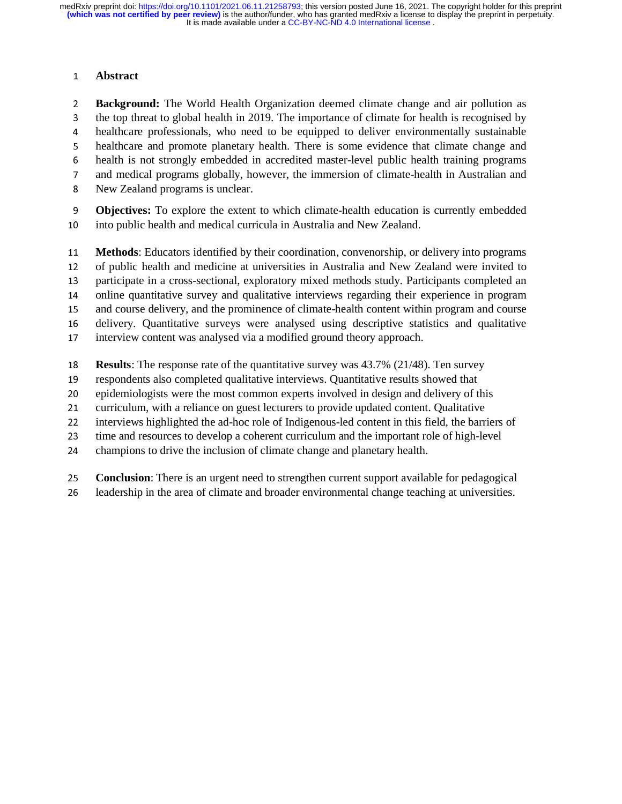#### <sup>1</sup>**Abstract**

**Background:** The World Health Organization deemed climate change and air pollution as the top threat to global health in 2019. The importance of climate for health is recognised by 3 the top threat to global health in 2019. The importance of climate for health is recognised by<br>4 healthcare professionals, who need to be equipped to deliver environmentally sustainable 4 healthcare professionals, who need to be equipped to deliver environmentally sustainable<br>5 healthcare and promote planetary health. There is some evidence that climate change and 5healthcare and promote planetary health. There is some evidence that climate change and<br>6 health is not strongly embedded in accredited master-level public health training programs 6 health is not strongly embedded in accredited master-level public health training programs<br>7 and medical programs globally, however, the immersion of climate-health in Australian and 7 and medical programs globally, however, the immersion of climate-health in Australian and<br>8 New Zealand programs is unclear. New Zealand programs is unclear.

9 **Objectives:** To explore the extent to which climate-health education is currently embedded into public health and medical curricula in Australia and New Zealand. into public health and medical curricula in Australia and New Zealand.

11 **Methods**: Educators identified by their coordination, convenorship, or delivery into programs<br>12 of public health and medicine at universities in Australia and New Zealand were invited to 12 of public health and medicine at universities in Australia and New Zealand were invited to<br>13 participate in a cross-sectional, exploratory mixed methods study. Participants completed an 13 participate in a cross-sectional, exploratory mixed methods study. Participants completed an<br>14 online quantitative survey and qualitative interviews regarding their experience in program 14 online quantitative survey and qualitative interviews regarding their experience in program<br>15 and course delivery, and the prominence of climate-health content within program and course 15 and course delivery, and the prominence of climate-health content within program and course<br>16 delivery. Ouantitative surveys were analysed using descriptive statistics and qualitative 16 delivery. Quantitative surveys were analysed using descriptive statistics and qualitative interview content was analysed via a modified ground theory approach. interview content was analysed via a modified ground theory approach.

**Results**: The response rate of the quantitative survey was 43.7% (21/48). Ten survey<br>respondents also completed qualitative interviews. Ouantitative results showed that

19 respondents also completed qualitative interviews. Quantitative results showed that<br>20 enidemiologists were the most common experts involved in design and delivery of the

20 epidemiologists were the most common experts involved in design and delivery of this<br>21 curriculum, with a reliance on guest lecturers to provide undated content. Qualitative

21 curriculum, with a reliance on guest lecturers to provide updated content. Qualitative<br>22 interviews highlighted the ad-hoc role of Indigenous-led content in this field, the barr

22 interviews highlighted the ad-hoc role of Indigenous-led content in this field, the barriers of<br>23 time and resources to develop a coherent curriculum and the important role of high-level

23 time and resources to develop a coherent curriculum and the important role of high-level<br>24 champions to drive the inclusion of climate change and planetary health.

champions to drive the inclusion of climate change and planetary health.

25 **Conclusion**: There is an urgent need to strengthen current support available for pedagogical leadership in the area of climate and broader environmental change teaching at universities.

<sup>26</sup>leadership in the area of climate and broader environmental change teaching at universities.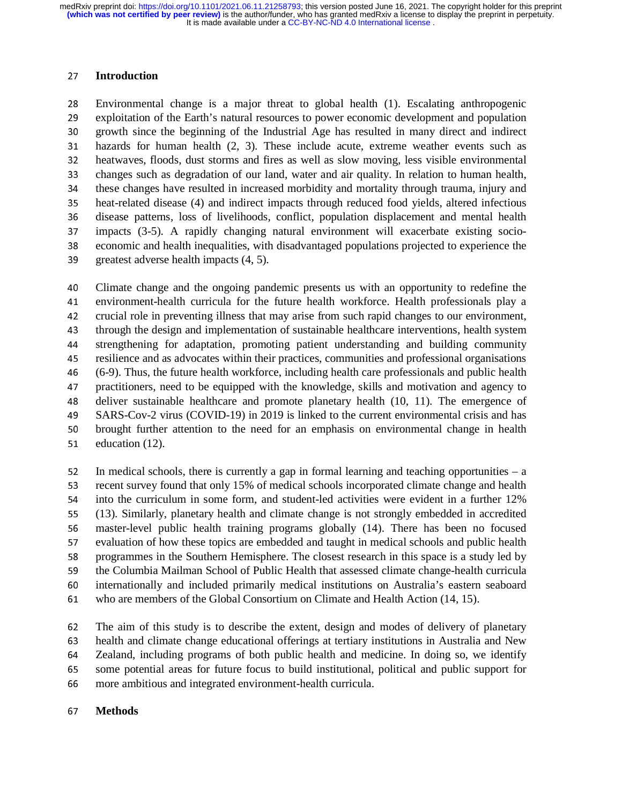#### <sup>27</sup>**Introduction**

28 Environmental change is a major threat to global health (1). Escalating anthropogenic<br>29 exploitation of the Earth's natural resources to power economic development and population 29 exploitation of the Earth's natural resources to power economic development and population<br>20 erowth since the beginning of the Industrial Age has resulted in many direct and indirect 30 growth since the beginning of the Industrial Age has resulted in many direct and indirect<br>31 hazards for human health (2, 3). These include acute, extreme weather events such as 31 hazards for human health (2, 3). These include acute, extreme weather events such as<br>32 heatwayes. floods, dust storms and fires as well as slow moving, less visible environmental 32 heatwaves, floods, dust storms and fires as well as slow moving, less visible environmental<br>33 changes such as degradation of our land, water and air quality. In relation to human health, 33 changes such as degradation of our land, water and air quality. In relation to human health,<br>34 these changes have resulted in increased morbidity and mortality through trauma, injury and 34 these changes have resulted in increased morbidity and mortality through trauma, injury and<br>35 heat-related disease (4) and indirect impacts through reduced food vields, altered infectious 35 heat-related disease (4) and indirect impacts through reduced food yields, altered infectious<br>36 disease patterns, loss of livelihoods, conflict, population displacement and mental health 36 disease patterns, loss of livelihoods, conflict, population displacement and mental health<br>37 impacts (3-5). A rapidly changing natural environment will exacerbate existing socio-37 impacts (3-5). A rapidly changing natural environment will exacerbate existing socio-<br>38 economic and health inequalities, with disadvantaged populations projected to experience the 38 economic and health inequalities, with disadvantaged populations projected to experience the greatest adverse health impacts  $(4, 5)$ . greatest adverse health impacts  $(4, 5)$ .

40 Climate change and the ongoing pandemic presents us with an opportunity to redefine the<br>41 environment-health curricula for the future health workforce. Health professionals play a 41 environment-health curricula for the future health workforce. Health professionals play a<br>42 crucial role in preventing illness that may arise from such rapid changes to our environment. 42 crucial role in preventing illness that may arise from such rapid changes to our environment,<br>43 through the design and implementation of sustainable healthcare interventions, health system 43 through the design and implementation of sustainable healthcare interventions, health system<br>44 strengthening for adaptation, promoting patient understanding and building community 44 strengthening for adaptation, promoting patient understanding and building community<br>45 resilience and as advocates within their practices, communities and professional organisations 45 resilience and as advocates within their practices, communities and professional organisations<br>46 (6-9). Thus, the future health workforce, including health care professionals and public health 46 (6-9). Thus, the future health workforce, including health care professionals and public health<br>47 practitioners, need to be equipped with the knowledge, skills and motivation and agency to 47 practitioners, need to be equipped with the knowledge, skills and motivation and agency to deliver sustainable healthcare and promote planetary health (10, 11). The emergence of 48 deliver sustainable healthcare and promote planetary health (10, 11). The emergence of SARS-Cov-2 virus (COVID-19) in 2019 is linked to the current environmental crisis and has 49 SARS-Cov-2 virus (COVID-19) in 2019 is linked to the current environmental crisis and has<br>50 brought further attention to the need for an emphasis on environmental change in health 50 brought further attention to the need for an emphasis on environmental change in health education (12). education (12).

52 In medical schools, there is currently a gap in formal learning and teaching opportunities – a recent survey found that only  $15\%$  of medical schools incorporated climate change and health 53 recent survey found that only 15% of medical schools incorporated climate change and health<br>54 into the curriculum in some form, and student-led activities were evident in a further 12% 54 into the curriculum in some form, and student-led activities were evident in a further 12%<br>55 (13). Similarly, planetary health and climate change is not strongly embedded in accredited 55 (13). Similarly, planetary health and climate change is not strongly embedded in accredited<br>56 master-level public health training programs globally (14). There has been no focused 56 master-level public health training programs globally (14). There has been no focused<br>57 evaluation of how these topics are embedded and taught in medical schools and public health 57 evaluation of how these topics are embedded and taught in medical schools and public health<br>58 programmes in the Southern Hemisphere. The closest research in this space is a study led by 58 programmes in the Southern Hemisphere. The closest research in this space is a study led by<br>59 the Columbia Mailman School of Public Health that assessed climate change-health curricula 59 the Columbia Mailman School of Public Health that assessed climate change-health curricula<br>60 internationally and included primarily medical institutions on Australia's eastern seaboard 60 internationally and included primarily medical institutions on Australia's eastern seaboard<br>61 who are members of the Global Consortium on Climate and Health Action (14, 15). who are members of the Global Consortium on Climate and Health Action  $(14, 15)$ .

62 The aim of this study is to describe the extent, design and modes of delivery of planetary<br>63 health and climate change educational offerings at tertiary institutions in Australia and New 63 health and climate change educational offerings at tertiary institutions in Australia and New<br>64 Zealand, including programs of both public health and medicine. In doing so, we identify 64 Zealand, including programs of both public health and medicine. In doing so, we identify<br>65 some potential areas for future focus to build institutional, political and public support for 65 some potential areas for future focus to build institutional, political and public support for<br>66 more ambitious and integrated environment-health curricula. more ambitious and integrated environment-health curricula.

#### <sup>67</sup>**Methods**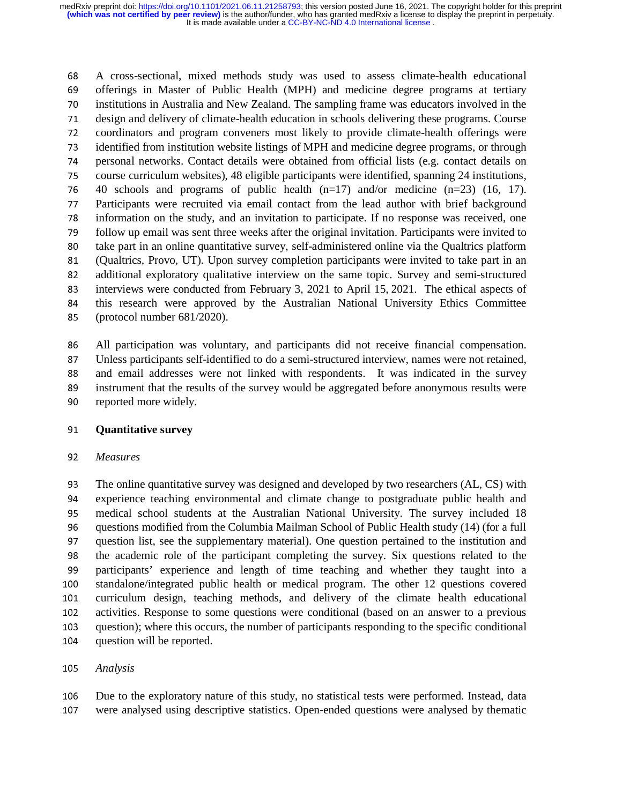68 A cross-sectional, mixed methods study was used to assess climate-health educational<br>69 offerings in Master of Public Health (MPH) and medicine degree programs at tertiary 69 offerings in Master of Public Health (MPH) and medicine degree programs at tertiary<br>70 institutions in Australia and New Zealand. The sampling frame was educators involved in the 70 institutions in Australia and New Zealand. The sampling frame was educators involved in the design and delivery of climate-health education in schools delivering these programs. Course 71 design and delivery of climate-health education in schools delivering these programs. Course<br>72 coordinators and program conveners most likely to provide climate-health offerings were 72 coordinators and program conveners most likely to provide climate-health offerings were<br>73 identified from institution website listings of MPH and medicine degree programs, or through 73 identified from institution website listings of MPH and medicine degree programs, or through<br>74 personal networks. Contact details were obtained from official lists (e.g. contact details on 74 personal networks. Contact details were obtained from official lists (e.g. contact details on<br>75 course curriculum websites). 48 eligible participants were identified, spanning 24 institutions. 75 course curriculum websites), 48 eligible participants were identified, spanning 24 institutions,  $\frac{40}{16}$  schools and programs of public health (n=17) and/or medicine (n=23) (16, 17). 76 40 schools and programs of public health  $(n=17)$  and/or medicine  $(n=23)$  (16, 17).<br>77 Participants were recruited via email contact from the lead author with brief background 77 Participants were recruited via email contact from the lead author with brief background<br>78 information on the study, and an invitation to participate. If no response was received, one 78 information on the study, and an invitation to participate. If no response was received, one<br>79 follow un email was sent three weeks after the original invitation. Participants were invited to 79 follow up email was sent three weeks after the original invitation. Participants were invited to<br>80 take part in an online quantitative survey, self-administered online via the Qualtrics platform 80 take part in an online quantitative survey, self-administered online via the Qualtrics platform<br>81 (Oualtrics Provo, UT). Upon survey completion participants were invited to take part in an 81 (Qualtrics, Provo, UT). Upon survey completion participants were invited to take part in an 82 additional exploratory qualitative interview on the same topic. Survey and semi-structured 82 additional exploratory qualitative interview on the same topic. Survey and semi-structured<br>83 interviews were conducted from February 3, 2021 to April 15, 2021. The ethical aspects of 83 interviews were conducted from February 3, 2021 to April 15, 2021. The ethical aspects of<br>84 this research were approved by the Australian National University Ethics Committee 84 this research were approved by the Australian National University Ethics Committee (protocol number 681/2020). <sup>85</sup>(protocol number 681/2020).

86 All participation was voluntary, and participants did not receive financial compensation.<br>87 Unless participants self-identified to do a semi-structured interview, names were not retained, 87 Unless participants self-identified to do a semi-structured interview, names were not retained,<br>88 and email addresses were not linked with respondents. It was indicated in the survey 88 and email addresses were not linked with respondents. It was indicated in the survey<br>89 instrument that the results of the survey would be aggregated before anonymous results were 89 instrument that the results of the survey would be aggregated before anonymous results were<br>90 reported more widely. reported more widely.

#### <sup>91</sup>**Quantitative survey**

#### <sup>92</sup>*Measures*

93 The online quantitative survey was designed and developed by two researchers (AL, CS) with<br>94 experience teaching environmental and climate change to postgraduate public health and 94 experience teaching environmental and climate change to postgraduate public health and<br>95 medical school students at the Australian National University. The survey included 18 95 medical school students at the Australian National University. The survey included 18<br>96 mestions modified from the Columbia Mailman School of Public Health study (14) (for a full 96 questions modified from the Columbia Mailman School of Public Health study (14) (for a full<br>97 question list, see the supplementary material). One question pertained to the institution and 97 question list, see the supplementary material). One question pertained to the institution and<br>98 the academic role of the participant completing the survey. Six questions related to the 98 the academic role of the participant completing the survey. Six questions related to the participants' experience and length of time teaching and whether they taught into a 99 participants' experience and length of time teaching and whether they taught into a<br>100 standalone/integrated public health or medical program. The other 12 questions covered 100 standalone/integrated public health or medical program. The other 12 questions covered<br>101 curriculum design, teaching methods, and delivery of the climate health educational 101 curriculum design, teaching methods, and delivery of the climate health educational<br>102 activities. Response to some questions were conditional (based on an answer to a previous 102 activities. Response to some questions were conditional (based on an answer to a previous question): where this occurs, the number of participants responding to the specific conditional 103 question); where this occurs, the number of participants responding to the specific conditional<br>104 question will be reported. question will be reported.

#### <sup>105</sup>*Analysis*

106 Due to the exploratory nature of this study, no statistical tests were performed. Instead, data<br>107 were analysed using descriptive statistics. Open-ended questions were analysed by thematic were analysed using descriptive statistics. Open-ended questions were analysed by thematic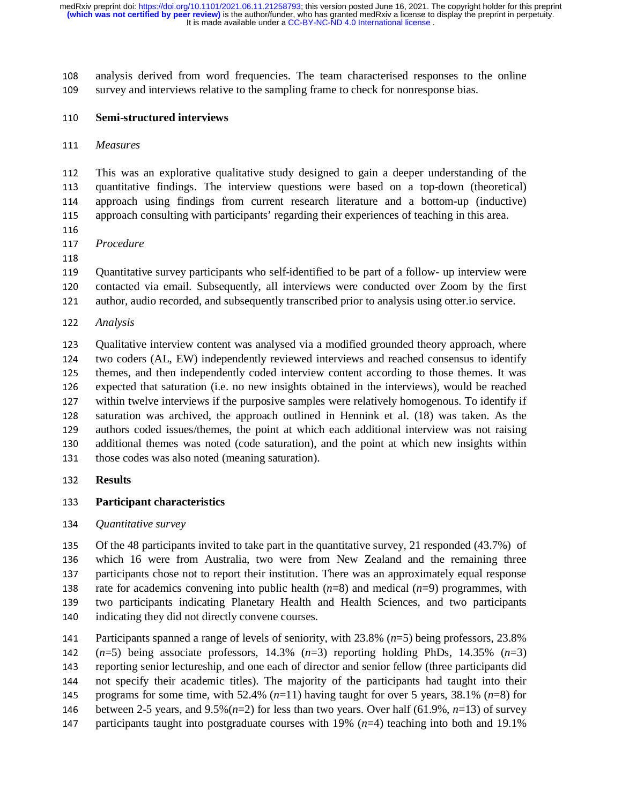108 analysis derived from word frequencies. The team characterised responses to the online<br>109 survey and interviews relative to the sampling frame to check for nonresponse bias. survey and interviews relative to the sampling frame to check for nonresponse bias.

#### <sup>110</sup>**Semi-structured interviews**

<sup>111</sup>*Measures* 

112 This was an explorative qualitative study designed to gain a deeper understanding of the quantitative findings. The interview questions were based on a top-down (theoretical) 113 quantitative findings. The interview questions were based on a top-down (theoretical)<br>114 approach using findings from current research literature and a bottom-up (inductive) 114 approach using findings from current research literature and a bottom-up (inductive)<br>115 approach consulting with participants' regarding their experiences of teaching in this area. 115 approach consulting with participants' regarding their experiences of teaching in this area.<br>116

- 
- 117 <sup>117</sup>*Procedure*
- 

118 119 Quantitative survey participants who self-identified to be part of a follow- up interview were<br>120 contacted via email. Subsequently, all interviews were conducted over Zoom by the first 120 contacted via email. Subsequently, all interviews were conducted over Zoom by the first 121 author, audio recorded, and subsequently transcribed prior to analysis using otter, io service. <sup>121</sup>author, audio recorded, and subsequently transcribed prior to analysis using otter.io service.

<sup>122</sup>*Analysis* 

123 Qualitative interview content was analysed via a modified grounded theory approach, where<br>124 two coders (AL, EW) independently reviewed interviews and reached consensus to identify 124 two coders (AL, EW) independently reviewed interviews and reached consensus to identify<br>125 themes, and then independently coded interview content according to those themes. It was 125 themes, and then independently coded interview content according to those themes. It was<br>126 expected that saturation (i.e. no new insights obtained in the interviews), would be reached 126 expected that saturation (i.e. no new insights obtained in the interviews), would be reached<br>127 within twelve interviews if the purposive samples were relatively homogenous. To identify if 127 within twelve interviews if the purposive samples were relatively homogenous. To identify if<br>128 saturation was archived, the approach outlined in Hennink et al. (18) was taken. As the 128 saturation was archived, the approach outlined in Hennink et al. (18) was taken. As the 129 authors coded issues/themes, the point at which each additional interview was not raising 129 authors coded issues/themes, the point at which each additional interview was not raising<br>130 additional themes was noted (code saturation), and the point at which new insights within 130 additional themes was noted (code saturation), and the point at which new insights within 131 those codes was also noted (meaning saturation). those codes was also noted (meaning saturation).

#### <sup>132</sup>**Results**

#### <sup>133</sup>**Participant characteristics**

<sup>134</sup>*Quantitative survey* 

135 Of the 48 participants invited to take part in the quantitative survey, 21 responded (43.7%) of 136 which 16 were from Australia, two were from New Zealand and the remaining three 136 which 16 were from Australia, two were from New Zealand and the remaining three<br>137 participants chose not to report their institution. There was an approximately equal response 137 participants chose not to report their institution. There was an approximately equal response<br>138 rate for academics convening into public health  $(n=8)$  and medical  $(n=9)$  programmes, with 138 rate for academics convening into public health  $(n=8)$  and medical  $(n=9)$  programmes, with<br>139 two participants indicating Planetary Health and Health Sciences, and two participants 139 two participants indicating Planetary Health and Health Sciences, and two participants<br>140 indicating they did not directly convene courses. indicating they did not directly convene courses.

141 Participants spanned a range of levels of seniority, with 23.8%  $(n=5)$  being professors, 23.8%<br>142  $(n=5)$  being associate professors, 14.3%  $(n=3)$  reporting holding PhDs, 14.35%  $(n=3)$  $(n=5)$  being associate professors, 14.3%  $(n=3)$  reporting holding PhDs, 14.35%  $(n=3)$ <br>143 reporting senior lectureship, and one each of director and senior fellow (three participants did 143 reporting senior lectureship, and one each of director and senior fellow (three participants did<br>144 not specify their academic titles). The maiority of the participants had taught into their 144 not specify their academic titles). The majority of the participants had taught into their<br>145 programs for some time, with 52.4%  $(n=11)$  having taught for over 5 years, 38.1%  $(n=8)$  for 145 programs for some time, with 52.4%  $(n=11)$  having taught for over 5 years, 38.1%  $(n=8)$  for 146 between 2-5 years, and 9.5%  $(n=2)$  for less than two years. Over half (61.9%,  $n=13$ ) of survey 146 between 2-5 years, and 9.5% $(n=2)$  for less than two years. Over half (61.9%, *n*=13) of survey<br>147 participants taught into postgraduate courses with 19%  $(n=4)$  teaching into both and 19.1% participants taught into postgraduate courses with 19%  $(n=4)$  teaching into both and 19.1%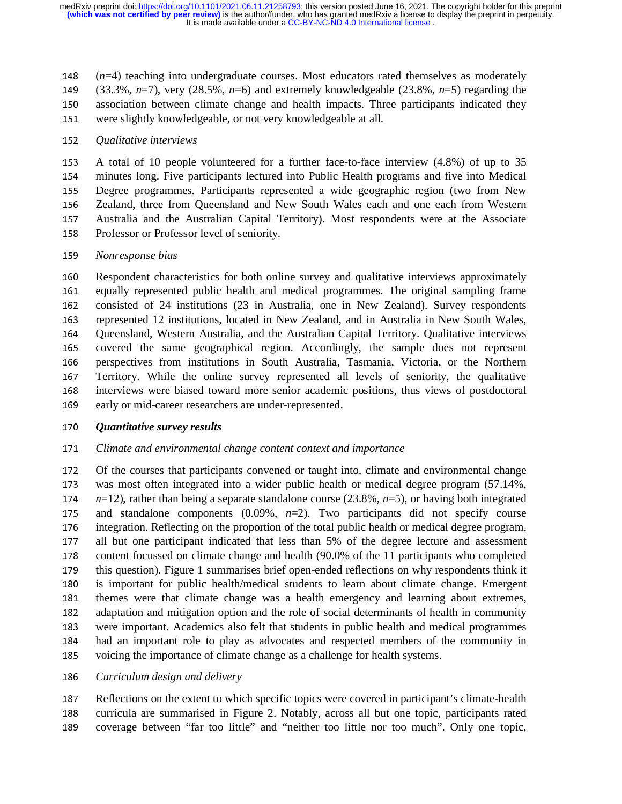148 ( $n=4$ ) teaching into undergraduate courses. Most educators rated themselves as moderately 149 (33.3%,  $n=7$ ), very (28.5%,  $n=6$ ) and extremely knowledgeable (23.8%,  $n=5$ ) regarding the 149 (33.3%, *n*=7), very (28.5%, *n*=6) and extremely knowledgeable (23.8%, *n*=5) regarding the association between climate change and health impacts. Three participants indicated they 150 association between climate change and health impacts. Three participants indicated they<br>151 were slightly knowledgeable, or not very knowledgeable at all. were slightly knowledgeable, or not very knowledgeable at all.

#### <sup>152</sup>*Qualitative interviews*

153 A total of 10 people volunteered for a further face-to-face interview (4.8%) of up to 35<br>154 minutes long. Five participants lectured into Public Health programs and five into Medical 154 minutes long. Five participants lectured into Public Health programs and five into Medical<br>155 Degree programmes. Participants represented a wide geographic region (two from New 155 Degree programmes. Participants represented a wide geographic region (two from New<br>156 Zealand, three from Oueensland and New South Wales each and one each from Western 156 Zealand, three from Queensland and New South Wales each and one each from Western<br>157 Australia and the Australian Capital Territory). Most respondents were at the Associate 157 Australia and the Australian Capital Territory). Most respondents were at the Associate<br>158 Professor or Professor level of seniority. Professor or Professor level of seniority.

#### <sup>159</sup>*Nonresponse bias*

160 Respondent characteristics for both online survey and qualitative interviews approximately<br>161 equally represented public health and medical programmes. The original sampling frame 161 equally represented public health and medical programmes. The original sampling frame<br>162 consisted of 24 institutions (23 in Australia, one in New Zealand). Survey respondents 162 consisted of 24 institutions (23 in Australia, one in New Zealand). Survey respondents<br>163 represented 12 institutions, located in New Zealand, and in Australia in New South Wales, 163 represented 12 institutions, located in New Zealand, and in Australia in New South Wales,<br>164 Oueensland, Western Australia, and the Australian Capital Territory. Oualitative interviews 164 Queensland, Western Australia, and the Australian Capital Territory. Qualitative interviews<br>165 covered the same geographical region. Accordingly, the sample does not represent 165 covered the same geographical region. Accordingly, the sample does not represent 166 perspectives from institutions in South Australia. Tasmania. Victoria or the Northern 166 perspectives from institutions in South Australia, Tasmania, Victoria, or the Northern<br>167 Territory. While the online survey represented all levels of seniority, the qualitative 167 Territory. While the online survey represented all levels of seniority, the qualitative interviews were biased toward more senior academic positions, thus views of postdoctoral 168 interviews were biased toward more senior academic positions, thus views of postdoctoral<br>169 early or mid-career researchers are under-represented. early or mid-career researchers are under-represented.

#### <sup>170</sup>*Quantitative survey results*

#### <sup>171</sup>*Climate and environmental change content context and importance*

172 Of the courses that participants convened or taught into, climate and environmental change<br>173 was most often integrated into a wider public health or medical degree program (57.14%). 173 was most often integrated into a wider public health or medical degree program (57.14%,  $n=12$ ), rather than being a separate standalone course (23.8%,  $n=5$ ), or having both integrated 174  $n=12$ ), rather than being a separate standalone course (23.8%,  $n=5$ ), or having both integrated and standalone components (0.09%,  $n=2$ ). Two participants did not specify course 175 and standalone components  $(0.09\%$ ,  $n=2)$ . Two participants did not specify course integration. Reflecting on the proportion of the total public health or medical degree program. 176 integration. Reflecting on the proportion of the total public health or medical degree program,<br>177 all but one participant indicated that less than 5% of the degree lecture and assessment 177 all but one participant indicated that less than 5% of the degree lecture and assessment<br>178 content focussed on climate change and health (90.0% of the 11 participants who completed 178 content focussed on climate change and health (90.0% of the 11 participants who completed<br>179 this question). Figure 1 summarises brief open-ended reflections on why respondents think it 179 this question). Figure 1 summarises brief open-ended reflections on why respondents think it<br>180 is important for public health/medical students to learn about climate change. Emergent 180 is important for public health/medical students to learn about climate change. Emergent 181 themes were that climate change was a health emergency and learning about extremes. 181 themes were that climate change was a health emergency and learning about extremes,<br>182 adaptation and mitigation option and the role of social determinants of health in community 182 adaptation and mitigation option and the role of social determinants of health in community<br>183 were important. Academics also felt that students in public health and medical programmes 183 were important. Academics also felt that students in public health and medical programmes<br>184 had an important role to play as advocates and respected members of the community in 184 had an important role to play as advocates and respected members of the community in<br>185 voicing the importance of climate change as a challenge for health systems. voicing the importance of climate change as a challenge for health systems.

#### <sup>186</sup>*Curriculum design and delivery*

187 Reflections on the extent to which specific topics were covered in participant's climate-health<br>188 curricula are summarised in Figure 2. Notably, across all but one topic, participants rated 188 curricula are summarised in Figure 2. Notably, across all but one topic, participants rated<br>189 coverage between "far too little" and "neither too little nor too much". Only one topic. coverage between "far too little" and "neither too little nor too much". Only one topic,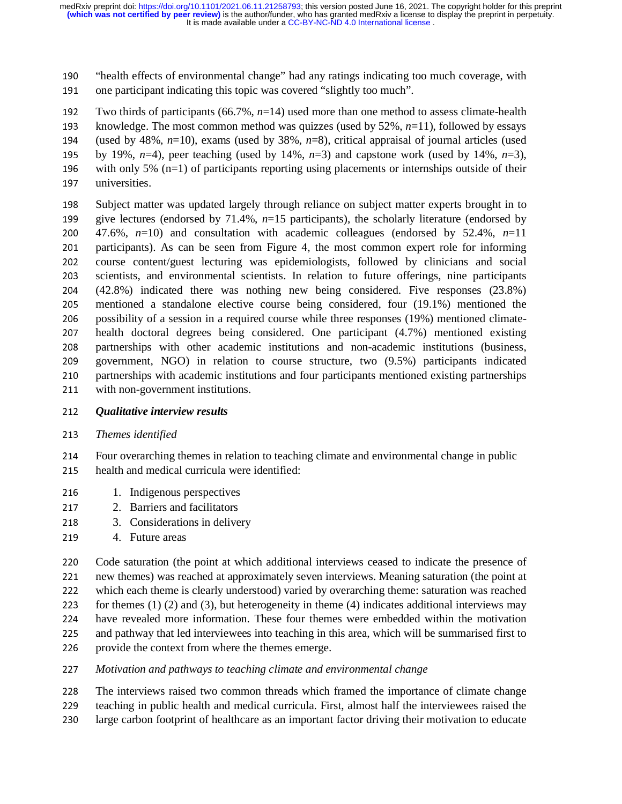190 "health effects of environmental change" had any ratings indicating too much coverage, with<br>191 one participant indicating this topic was covered "slightly too much". one participant indicating this topic was covered "slightly too much".

192 Two thirds of participants (66.7%,  $n=14$ ) used more than one method to assess climate-health<br>193 knowledge. The most common method was quizzes (used by 52%,  $n=11$ ), followed by essays

193 knowledge. The most common method was quizzes (used by 52%,  $n=11$ ), followed by essays<br>194 (used by 48%,  $n=10$ ), exams (used by 38%,  $n=8$ ), critical appraisal of journal articles (used

194 (used by 48%,  $n=10$ ), exams (used by 38%,  $n=8$ ), critical appraisal of journal articles (used 195 by 19%,  $n=4$ ), peer teaching (used by 14%,  $n=3$ ) and capstone work (used by 14%,  $n=3$ ).

- 195 by 19%, *n*=4), peer teaching (used by 14%, *n*=3) and capstone work (used by 14%, *n*=3), with only 5% (n=1) of participants reporting using placements or internships outside of their 196 with only 5% (n=1) of participants reporting using placements or internships outside of their universities.
- universities.

198 Subject matter was updated largely through reliance on subject matter experts brought in to give lectures (endorsed by  $71.4\%$ ,  $n=15$  participants), the scholarly literature (endorsed by 199 give lectures (endorsed by 71.4%,  $n=15$  participants), the scholarly literature (endorsed by 200 47.6%,  $n=10$ ) and consultation with academic colleagues (endorsed by 52.4%,  $n=11$ ) 200 47.6%,  $n=10$ ) and consultation with academic colleagues (endorsed by 52.4%,  $n=11$  201 participants). As can be seen from Figure 4, the most common expert role for informing 201 participants). As can be seen from Figure 4, the most common expert role for informing<br>202 course content/guest lecturing was epidemiologists, followed by clinicians and social 202 course content/guest lecturing was epidemiologists, followed by clinicians and social<br>203 scientists, and environmental scientists. In relation to future offerings, nine participants 203 scientists, and environmental scientists. In relation to future offerings, nine participants<br>204 (42.8%) indicated there was nothing new being considered. Five responses (23.8%) 204 (42.8%) indicated there was nothing new being considered. Five responses (23.8%)<br>205 mentioned a standalone elective course being considered, four (19.1%) mentioned the 205 mentioned a standalone elective course being considered, four (19.1%) mentioned the<br>206 nossibility of a session in a required course while three responses (19%) mentioned climate-206 possibility of a session in a required course while three responses (19%) mentioned climate-<br>207 health doctoral degrees being considered. One participant (4.7%) mentioned existing 207 health doctoral degrees being considered. One participant (4.7%) mentioned existing<br>208 partnerships with other academic institutions and non-academic institutions (business, 208 partnerships with other academic institutions and non-academic institutions (business, 209 partnerships (business, 209 participants indicated 209 government, NGO) in relation to course structure, two (9.5%) participants indicated<br>210 partnerships with academic institutions and four participants mentioned existing partnerships 210 partnerships with academic institutions and four participants mentioned existing partnerships<br>211 with non-government institutions. with non-government institutions.

#### <sup>212</sup>*Qualitative interview results*

## <sup>213</sup>*Themes identified*

- 214 Four overarching themes in relation to teaching climate and environmental change in public<br>215 health and medical curricula were identified: health and medical curricula were identified:
- 216 1. Indigenous perspectives<br>217 2. Barriers and facilitators
- 217 2. Barriers and facilitators<br>218 3. Considerations in delive
- 218 3. Considerations in delivery<br>219 4. Future areas
- 4. Future areas

220 Code saturation (the point at which additional interviews ceased to indicate the presence of new thermes) was reached at approximately seven interviews. Meaning saturation (the point at 221 new themes) was reached at approximately seven interviews. Meaning saturation (the point at 222 which each theme is clearly understood) varied by overarching theme: saturation was reached 222 which each theme is clearly understood) varied by overarching theme: saturation was reached<br>223 for themes (1) (2) and (3), but heterogeneity in theme (4) indicates additional interviews may 223 for themes  $(1)$   $(2)$  and  $(3)$ , but heterogeneity in theme  $(4)$  indicates additional interviews may 224 have revealed more information. These four themes were embedded within the motivation 224 have revealed more information. These four themes were embedded within the motivation<br>225 and pathway that led interviewees into teaching in this area, which will be summarised first to 225 and pathway that led interviewees into teaching in this area, which will be summarised first to provide the context from where the themes emerge. provide the context from where the themes emerge.

<sup>227</sup>*Motivation and pathways to teaching climate and environmental change*

228 The interviews raised two common threads which framed the importance of climate change<br>229 teaching in public health and medical curricula. First, almost half the interviewees raised the 229 teaching in public health and medical curricula. First, almost half the interviewees raised the<br>230 large carbon footprint of healthcare as an important factor driving their motivation to educate large carbon footprint of healthcare as an important factor driving their motivation to educate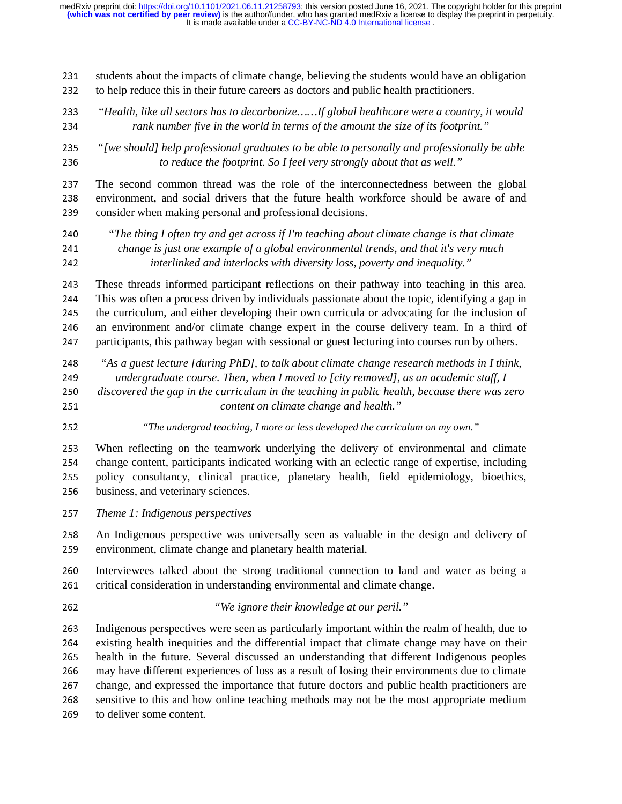231 students about the impacts of climate change, believing the students would have an obligation<br>232 to help reduce this in their future careers as doctors and public health practitioners. to help reduce this in their future careers as doctors and public health practitioners.

- <sup>233</sup>"*Health, like all sectors has to decarbonize……If global healthcare were a country, it would*  rank number five in the world in terms of the amount the size of its footprint."
- <sup>235</sup>*"[we should] help professional graduates to be able to personally and professionally be able*  <sup>236</sup>*to reduce the footprint. So I feel very strongly about that as well."*

237 The second common thread was the role of the interconnectedness between the global<br>238 environment, and social drivers that the future health workforce should be aware of and 238 environment, and social drivers that the future health workforce should be aware of and consider when making personal and professional decisions. consider when making personal and professional decisions.

<sup>240</sup>*"The thing I often try and get across if I'm teaching about climate change is that climate*  <sup>241</sup>*change is just one example of a global environmental trends, and that it's very much*  <sup>242</sup>*interlinked and interlocks with diversity loss, poverty and inequality."*

243 These threads informed participant reflections on their pathway into teaching in this area.<br>244 This was often a process driven by individuals passionate about the topic identifying a gap in 244 This was often a process driven by individuals passionate about the topic, identifying a gap in<br>245 the curriculum, and either developing their own curricula or advocating for the inclusion of 245 the curriculum, and either developing their own curricula or advocating for the inclusion of 246 an environment and/or climate change expert in the course delivery team. In a third of 246 an environment and/or climate change expert in the course delivery team. In a third of participants, this pathway began with sessional or guest lecturing into courses run by others. participants, this pathway began with sessional or guest lecturing into courses run by others.

- <sup>248</sup>*"As a guest lecture [during PhD], to talk about climate change research methods in I think,*
- <sup>249</sup>*undergraduate course. Then, when I moved to [city removed], as an academic staff, I*
- <sup>250</sup>*discovered the gap in the curriculum in the teaching in public health, because there was zero*  <sup>251</sup>*content on climate change and health."*
- <sup>252</sup>*"The undergrad teaching, I more or less developed the curriculum on my own."*

253 When reflecting on the teamwork underlying the delivery of environmental and climate<br>254 change content, participants indicated working with an eclectic range of expertise, including 254 change content, participants indicated working with an eclectic range of expertise, including<br>255 policy consultancy, clinical practice, planetary health, field epidemiology, bioethics, 255 policy consultancy, clinical practice, planetary health, field epidemiology, bioethics, 256 business, and veterinary sciences. business, and veterinary sciences.

<sup>257</sup>*Theme 1: Indigenous perspectives* 

258 An Indigenous perspective was universally seen as valuable in the design and delivery of environment, climate change and planetary health material. environment, climate change and planetary health material.

260 Interviewees talked about the strong traditional connection to land and water as being a critical consideration in understanding environmental and climate change. critical consideration in understanding environmental and climate change.

<sup>262</sup>*"We ignore their knowledge at our peril."* 

263 Indigenous perspectives were seen as particularly important within the realm of health, due to existing health inequities and the differential impact that climate change may have on their 264 existing health inequities and the differential impact that climate change may have on their<br>265 health in the future. Several discussed an understanding that different Indigenous peoples 265 health in the future. Several discussed an understanding that different Indigenous peoples<br>266 may have different experiences of loss as a result of losing their environments due to climate 266 may have different experiences of loss as a result of losing their environments due to climate<br>267 change, and expressed the importance that future doctors and public health practitioners are 267 change, and expressed the importance that future doctors and public health practitioners are<br>268 sensitive to this and how online teaching methods may not be the most appropriate medium 268 sensitive to this and how online teaching methods may not be the most appropriate medium<br>269 to deliver some content. to deliver some content.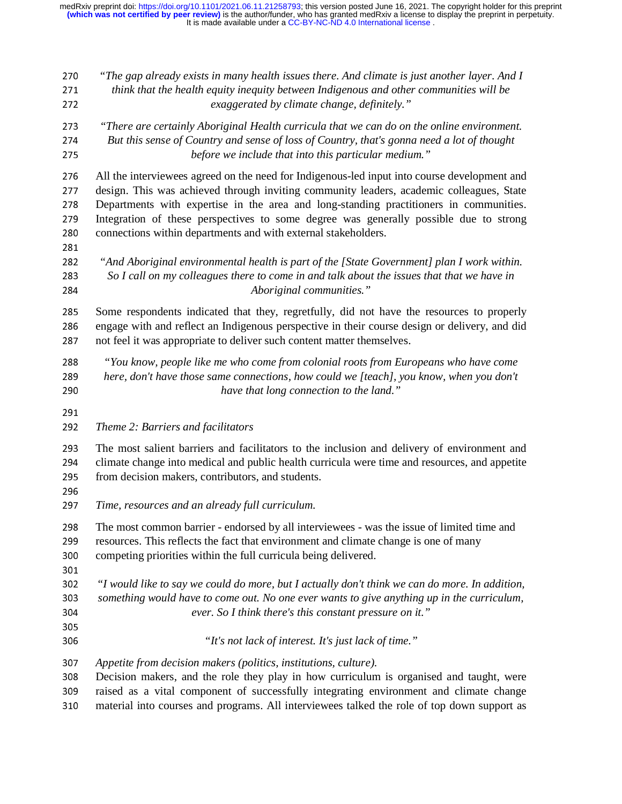<sup>270</sup>*"The gap already exists in many health issues there. And climate is just another layer. And I*  <sup>271</sup>*think that the health equity inequity between Indigenous and other communities will be*  <sup>272</sup>*exaggerated by climate change, definitely."*  <sup>273</sup>*"There are certainly Aboriginal Health curricula that we can do on the online environment.*  <sup>274</sup>*But this sense of Country and sense of loss of Country, that's gonna need a lot of thought*  before we include that into this particular medium." 276 All the interviewees agreed on the need for Indigenous-led input into course development and<br>277 design. This was achieved through inviting community leaders, academic colleagues, State 277 design. This was achieved through inviting community leaders, academic colleagues, State<br>278 Departments with expertise in the area and long-standing practitioners in communities. 278 Departments with expertise in the area and long-standing practitioners in communities.<br>279 Integration of these perspectives to some degree was generally possible due to strong 279 Integration of these perspectives to some degree was generally possible due to strong<br>280 connections within departments and with external stakeholders. 280 connections within departments and with external stakeholders.<br>281 282 <sup>282</sup>*"And Aboriginal environmental health is part of the [State Government] plan I work within.*  <sup>283</sup>*So I call on my colleagues there to come in and talk about the issues that that we have in*  <sup>284</sup>*Aboriginal communities."*  285 Some respondents indicated that they, regretfully, did not have the resources to properly<br>286 engage with and reflect an Indigenous perspective in their course design or delivery, and did 286 engage with and reflect an Indigenous perspective in their course design or delivery, and did<br>287 not feel it was appropriate to deliver such content matter themselves. not feel it was appropriate to deliver such content matter themselves. <sup>288</sup>*"You know, people like me who come from colonial roots from Europeans who have come*  <sup>289</sup>*here, don't have those same connections, how could we [teach], you know, when you don't*  have that long connection to the land." 291<br>292 <sup>292</sup>*Theme 2: Barriers and facilitators*  293 The most salient barriers and facilitators to the inclusion and delivery of environment and<br>294 climate change into medical and public health curricula were time and resources, and appetite 294 climate change into medical and public health curricula were time and resources, and appetite<br>295 from decision makers, contributors, and students. 295 from decision makers, contributors, and students.<br>296 297 *Time, resources and an already full curriculum.* 298 The most common barrier - endorsed by all interviewees - was the issue of limited time and<br>299 resources. This reflects the fact that environment and climate change is one of many 299 resources. This reflects the fact that environment and climate change is one of many<br>200 competing priorities within the full curricula being delivered. 300 competing priorities within the full curricula being delivered.<br>301 302 <sup>302</sup>*"I would like to say we could do more, but I actually don't think we can do more. In addition,*  <sup>303</sup>*something would have to come out. No one ever wants to give anything up in the curriculum,*  <sup>304</sup>*ever. So I think there's this constant pressure on it."* 305 <sup>306</sup>*"It's not lack of interest. It's just lack of time."* <sup>307</sup>*Appetite from decision makers (politics, institutions, culture).*  308 Decision makers, and the role they play in how curriculum is organised and taught, were<br>309 raised as a vital component of successfully integrating environment and climate change 309 raised as a vital component of successfully integrating environment and climate change<br>310 material into courses and programs. All interviewees talked the role of top down support as material into courses and programs. All interviewees talked the role of top down support as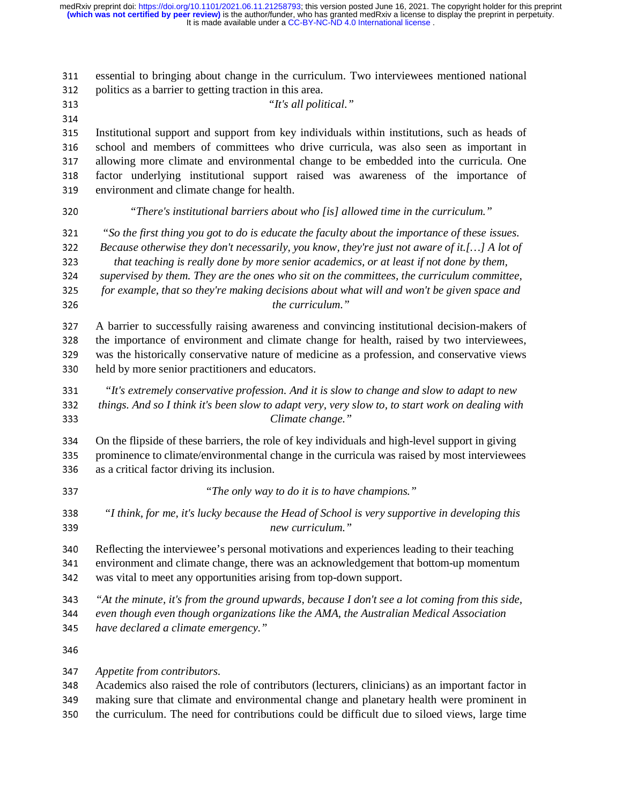311 essential to bringing about change in the curriculum. Two interviewees mentioned national politics as a barrier to getting traction in this area.

312 politics as a barrier to getting traction in this area.<br> $313$  "It's all politically <sup>313</sup>*"It's all political."*

315 315 Institutional support and support from key individuals within institutions, such as heads of school and members of committees who drive curricula, was also seen as important in 316 school and members of committees who drive curricula, was also seen as important in allowing more climate and environmental change to be embedded into the curricula. One 317 allowing more climate and environmental change to be embedded into the curricula. One<br>318 factor underlying institutional support raised was awareness of the importance of 318 factor underlying institutional support raised was awareness of the importance of environment and climate change for health. environment and climate change for health.

<sup>320</sup>*"There's institutional barriers about who [is] allowed time in the curriculum."*

<sup>321</sup>*"So the first thing you got to do is educate the faculty about the importance of these issues.* 

<sup>322</sup>*Because otherwise they don't necessarily, you know, they're just not aware of it.[…] A lot of* 

<sup>323</sup>*that teaching is really done by more senior academics, or at least if not done by them,*  <sup>324</sup>*supervised by them. They are the ones who sit on the committees, the curriculum committee,* 

<sup>325</sup>*for example, that so they're making decisions about what will and won't be given space and*  the curriculum."

327 A barrier to successfully raising awareness and convincing institutional decision-makers of the importance of environment and climate change for health, raised by two interviewees. 328 the importance of environment and climate change for health, raised by two interviewees,<br>329 was the historically conservative nature of medicine as a profession and conservative views was the historically conservative nature of medicine as a profession, and conservative views<br>330 held by more senior practitioners and educators. held by more senior practitioners and educators.

<sup>331</sup>*"It's extremely conservative profession. And it is slow to change and slow to adapt to new*  <sup>332</sup>*things. And so I think it's been slow to adapt very, very slow to, to start work on dealing with*  <sup>333</sup>*Climate change."*

334 On the flipside of these barriers, the role of key individuals and high-level support in giving<br>335 prominence to climate/environmental change in the curricula was raised by most interviewee 335 prominence to climate/environmental change in the curricula was raised by most interviewees<br>336 as a critical factor driving its inclusion. as a critical factor driving its inclusion.

- <sup>337</sup>*"The only way to do it is to have champions."*
- <sup>338</sup>*"I think, for me, it's lucky because the Head of School is very supportive in developing this*  <sup>339</sup>*new curriculum."*

340 Reflecting the interviewee's personal motivations and experiences leading to their teaching<br>341 environment and climate change, there was an acknowledgement that bottom-up momentum 341 environment and climate change, there was an acknowledgement that bottom-up momentum<br>342 was vital to meet any opportunities arising from top-down support. was vital to meet any opportunities arising from top-down support.

<sup>343</sup>*"At the minute, it's from the ground upwards, because I don't see a lot coming from this side,*  <sup>344</sup>*even though even though organizations like the AMA, the Australian Medical Association* 

<sup>345</sup>*have declared a climate emergency."*

<sup>347</sup>*Appetite from contributors.* 

348 Academics also raised the role of contributors (lecturers, clinicians) as an important factor in<br>349 making sure that climate and environmental change and planetary health were prominent in

349 making sure that climate and environmental change and planetary health were prominent in<br>350 the curriculum. The need for contributions could be difficult due to siloed views, large time

the curriculum. The need for contributions could be difficult due to siloed views, large time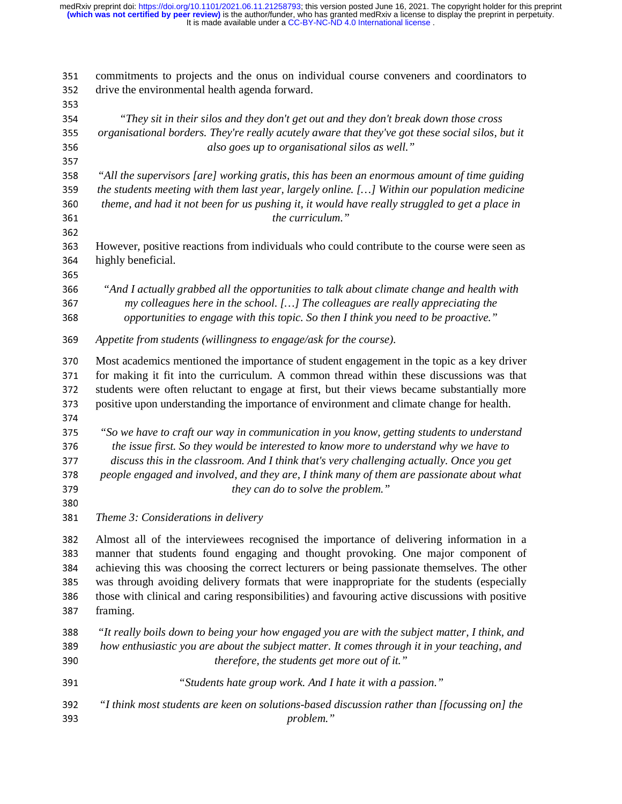351 commitments to projects and the onus on individual course conveners and coordinators to drive the environmental health agenda forward. 352 drive the environmental health agenda forward.<br>353 *"They sit in their silos and they don't get out and they don't break down those cross organisational borders. They're really acutely aware that they've got these social silos, but it also goes up to organisational silos as well." "All the supervisors [are] working gratis, this has been an enormous amount of time guiding the students meeting with them last year, largely online. […] Within our population medicine theme, and had it not been for us pushing it, it would have really struggled to get a place in the curriculum."*  363 However, positive reactions from individuals who could contribute to the course were seen as highly beneficial. 364 highly beneficial.<br>365 *"And I actually grabbed all the opportunities to talk about climate change and health with my colleagues here in the school. […] The colleagues are really appreciating the opportunities to engage with this topic. So then I think you need to be proactive." Appetite from students (willingness to engage/ask for the course).*  370 Most academics mentioned the importance of student engagement in the topic as a key driver<br>371 for making it fit into the curriculum. A common thread within these discussions was that 371 for making it fit into the curriculum. A common thread within these discussions was that 372 students were often reluctant to engage at first, but their views became substantially more 372 students were often reluctant to engage at first, but their views became substantially more<br>373 positive upon understanding the importance of environment and climate change for health. 373 positive upon understanding the importance of environment and climate change for health.<br>374 *"So we have to craft our way in communication in you know, getting students to understand the issue first. So they would be interested to know more to understand why we have to discuss this in the classroom. And I think that's very challenging actually. Once you get people engaged and involved, and they are, I think many of them are passionate about what they can do to solve the problem." Theme 3: Considerations in delivery*  382 Almost all of the interviewees recognised the importance of delivering information in a<br>383 manner that students found engaging and thought provoking. One major component of 383 manner that students found engaging and thought provoking. One major component of achieving this was choosing the correct lecturers or being passionate themselves. The other 384 achieving this was choosing the correct lecturers or being passionate themselves. The other<br>385 was through avoiding delivery formats that were inappropriate for the students (especially 385 was through avoiding delivery formats that were inappropriate for the students (especially those with clinical and caring responsibilities) and favouring active discussions with positive 386 those with clinical and caring responsibilities) and favouring active discussions with positive framing. framing. *"It really boils down to being your how engaged you are with the subject matter, I think, and how enthusiastic you are about the subject matter. It comes through it in your teaching, and*  therefore, the students get more out of it." *"Students hate group work. And I hate it with a passion." "I think most students are keen on solutions-based discussion rather than [focussing on] the problem."*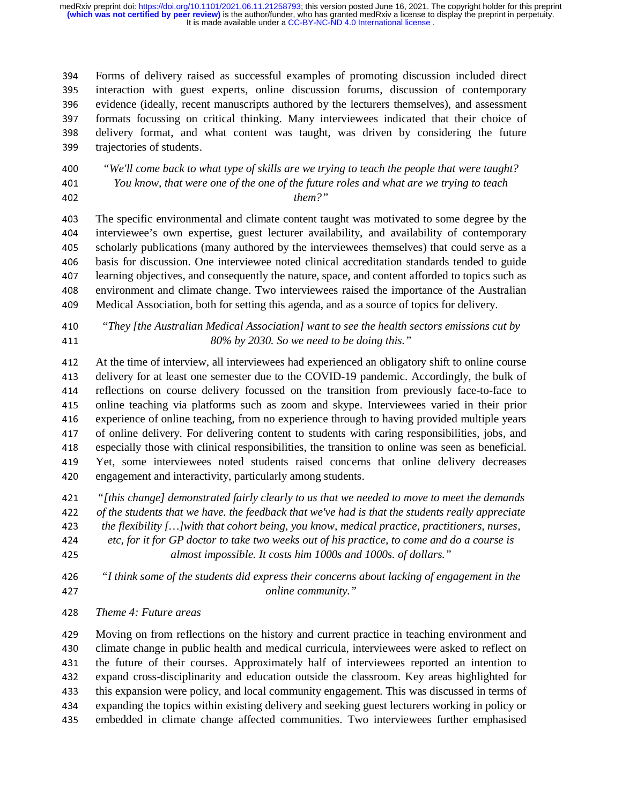394 Forms of delivery raised as successful examples of promoting discussion included direct<br>395 interaction with guest experts, online discussion forums, discussion of contemporary 395 interaction with guest experts, online discussion forums, discussion of contemporary<br>396 evidence (ideally, recent manuscripts authored by the lecturers themselves), and assessment 396 evidence (ideally, recent manuscripts authored by the lecturers themselves), and assessment<br>397 formats focussing on critical thinking. Many interviewees indicated that their choice of 397 formats focussing on critical thinking. Many interviewees indicated that their choice of delivery format, and what content was taught, was driven by considering the future 398 delivery format, and what content was taught, was driven by considering the future trailectories of students. trajectories of students.

<sup>400</sup>*"We'll come back to what type of skills are we trying to teach the people that were taught?*  <sup>401</sup>*You know, that were one of the one of the future roles and what are we trying to teach*  <sup>402</sup>*them?"* 

403 The specific environmental and climate content taught was motivated to some degree by the interviewee's own expertise, guest lecturer availability, and availability of contemporary 404 interviewee's own expertise, guest lecturer availability, and availability of contemporary<br>405 scholarly publications (many authored by the interviewees themselves) that could serve as a 405 scholarly publications (many authored by the interviewees themselves) that could serve as a<br>406 basis for discussion. One interviewee noted clinical accreditation standards tended to guide 406 basis for discussion. One interviewee noted clinical accreditation standards tended to guide<br>407 learning objectives, and consequently the nature, space, and content afforded to topics such as 107 learning objectives, and consequently the nature, space, and content afforded to topics such as<br>108 environment and climate change. Two interviewees raised the importance of the Australian 408 environment and climate change. Two interviewees raised the importance of the Australian 409 Medical Association, both for setting this agenda, and as a source of topics for delivery. Medical Association, both for setting this agenda, and as a source of topics for delivery.

### <sup>410</sup>*"They [the Australian Medical Association] want to see the health sectors emissions cut by*  <sup>411</sup>*80% by 2030. So we need to be doing this."*

412 At the time of interview, all interviewees had experienced an obligatory shift to online course<br>413 delivery for at least one semester due to the COVID-19 pandemic. Accordingly, the bulk of 413 delivery for at least one semester due to the COVID-19 pandemic. Accordingly, the bulk of reflections on course delivery focussed on the transition from previously face-to-face to 414 reflections on course delivery focussed on the transition from previously face-to-face to<br>415 online teaching via platforms such as zoom and skype. Interviewees varied in their prior 415 online teaching via platforms such as zoom and skype. Interviewees varied in their prior<br>416 experience of online teaching, from no experience through to having provided multiple vears 416 experience of online teaching, from no experience through to having provided multiple years<br>417 of online delivery. For delivering content to students with caring responsibilities, iobs, and 417 of online delivery. For delivering content to students with caring responsibilities, jobs, and<br>418 especially those with clinical responsibilities, the transition to online was seen as beneficial. especially those with clinical responsibilities, the transition to online was seen as beneficial.<br>419 Yet some interviewees noted students raised concerns that online delivery decreases 419 Yet, some interviewees noted students raised concerns that online delivery decreases engagement and interactivity, particularly among students. engagement and interactivity, particularly among students.

<sup>421</sup>*"[this change] demonstrated fairly clearly to us that we needed to move to meet the demands* 

- <sup>422</sup>*of the students that we have. the feedback that we've had is that the students really appreciate*
- <sup>423</sup>*the flexibility […]with that cohort being, you know, medical practice, practitioners, nurses,*
- <sup>424</sup>*etc, for it for GP doctor to take two weeks out of his practice, to come and do a course is*  <sup>425</sup>*almost impossible. It costs him 1000s and 1000s. of dollars."*

<sup>426</sup>*"I think some of the students did express their concerns about lacking of engagement in the*  <sup>427</sup>*online community."* 

<sup>428</sup>*Theme 4: Future areas* 

429 Moving on from reflections on the history and current practice in teaching environment and<br>430 climate change in public health and medical curricula, interviewees were asked to reflect on 430 climate change in public health and medical curricula, interviewees were asked to reflect on<br>431 the future of their courses. Approximately half of interviewees reported an intention to 431 the future of their courses. Approximately half of interviewees reported an intention to<br>432 expand cross-disciplinarity and education outside the classroom. Key areas highlighted for expand cross-disciplinarity and education outside the classroom. Key areas highlighted for this expansion were policy, and local community engagement. This was discussed in terms of 433 this expansion were policy, and local community engagement. This was discussed in terms of<br>434 expanding the topics within existing delivery and seeking guest lecturers working in policy or 434 expanding the topics within existing delivery and seeking guest lecturers working in policy or<br>435 embedded in climate change affected communities. Two interviewees further emphasised embedded in climate change affected communities. Two interviewees further emphasised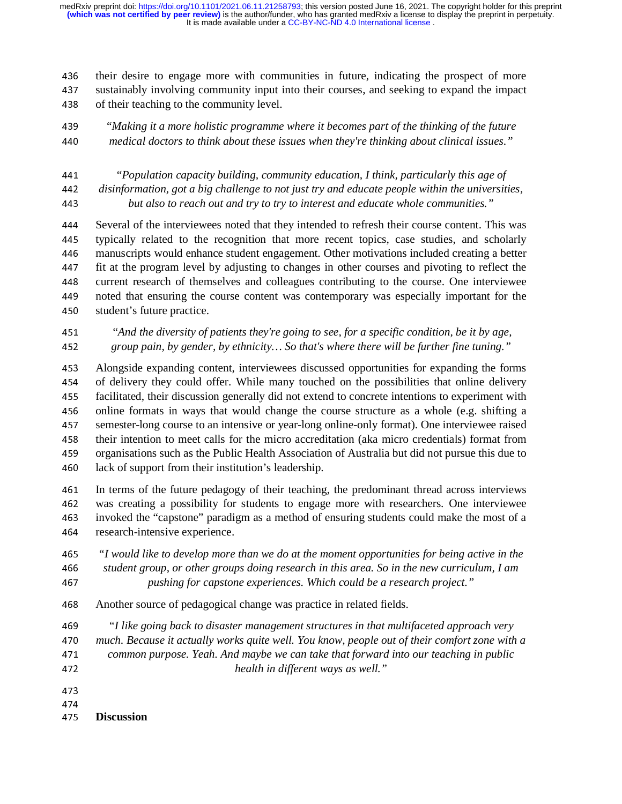436 their desire to engage more with communities in future, indicating the prospect of more<br>437 sustainably involving community input into their courses, and seeking to expand the impact 437 sustainably involving community input into their courses, and seeking to expand the impact 438 of their teaching to the community level. of their teaching to the community level.

<sup>439</sup>*"Making it a more holistic programme where it becomes part of the thinking of the future*  <sup>440</sup>*medical doctors to think about these issues when they're thinking about clinical issues."* 

<sup>441</sup>*"Population capacity building, community education, I think, particularly this age of*  <sup>442</sup>*disinformation, got a big challenge to not just try and educate people within the universities,*  <sup>443</sup>*but also to reach out and try to try to interest and educate whole communities."* 

444 Several of the interviewees noted that they intended to refresh their course content. This was<br>445 typically related to the recognition that more recent topics, case studies, and scholarly typically related to the recognition that more recent topics, case studies, and scholarly<br>446 manuscripts would enhance student engagement. Other motivations included creating a better manuscripts would enhance student engagement. Other motivations included creating a better<br>447 fit at the program level by adiusting to changes in other courses and pivoting to reflect the fit at the program level by adjusting to changes in other courses and pivoting to reflect the<br>448 current research of themselves and colleagues contributing to the course. One interviewee 448 current research of themselves and colleagues contributing to the course. One interviewee<br>449 noted that ensuring the course content was contemporary was especially important for the 449 noted that ensuring the course content was contemporary was especially important for the student's future practice. student's future practice.

<sup>451</sup>"*And the diversity of patients they're going to see, for a specific condition, be it by age,*  <sup>452</sup>*group pain, by gender, by ethnicity… So that's where there will be further fine tuning."* 

453 Alongside expanding content, interviewees discussed opportunities for expanding the forms<br>454 of delivery they could offer. While many touched on the possibilities that online delivery 454 of delivery they could offer. While many touched on the possibilities that online delivery<br>455 facilitated, their discussion generally did not extend to concrete intentions to experiment with 455 facilitated, their discussion generally did not extend to concrete intentions to experiment with  $456$  online formats in ways that would change the course structure as a whole (e.g. shifting a 456 online formats in ways that would change the course structure as a whole (e.g. shifting a semester-long course to an intensive or vear-long online-only format). One interviewee raised 457 semester-long course to an intensive or year-long online-only format). One interviewee raised<br>458 their intention to meet calls for the micro accreditation (aka micro credentials) format from 458 their intention to meet calls for the micro accreditation (aka micro credentials) format from<br>459 organisations such as the Public Health Association of Australia but did not pursue this due to 159 organisations such as the Public Health Association of Australia but did not pursue this due to<br>160 lack of support from their institution's leadership. lack of support from their institution's leadership.

461 In terms of the future pedagogy of their teaching, the predominant thread across interviews<br>462 was creating a possibility for students to engage more with researchers. One interviewee was creating a possibility for students to engage more with researchers. One interviewee<br>463 invoked the "capstone" paradigm as a method of ensuring students could make the most of a 463 invoked the "capstone" paradigm as a method of ensuring students could make the most of a<br>464 research-intensive experience. research-intensive experience.

- <sup>465</sup>*"I would like to develop more than we do at the moment opportunities for being active in the*  <sup>466</sup>*student group, or other groups doing research in this area. So in the new curriculum, I am*  <sup>467</sup>*pushing for capstone experiences. Which could be a research project."*
- <sup>468</sup>Another source of pedagogical change was practice in related fields.

*"I like going back to disaster management structures in that multifaceted approach very much. Because it actually works quite well. You know, people out of their comfort zone with a common purpose. Yeah. And maybe we can take that forward into our teaching in public*  health in different ways as well."

- 
- 473<br>474
- 475 <sup>475</sup>**Discussion**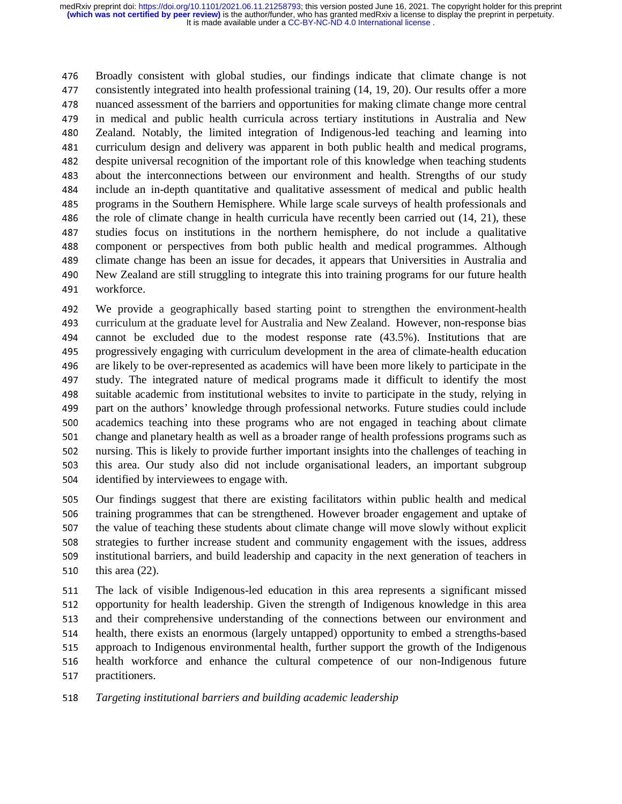476 Broadly consistent with global studies, our findings indicate that climate change is not<br>477 consistently integrated into health professional training (14, 19, 20). Our results offer a more 477 consistently integrated into health professional training (14, 19, 20). Our results offer a more<br>478 nuanced assessment of the barriers and opportunities for making climate change more central 478 nuanced assessment of the barriers and opportunities for making climate change more central<br>479 in medical and public health curricula across tertiary institutions in Australia and New 479 in medical and public health curricula across tertiary institutions in Australia and New<br>480 Zealand. Notably, the limited integration of Indigenous-led teaching and learning into 480 Zealand. Notably, the limited integration of Indigenous-led teaching and learning into<br>481 curriculum design and delivery was apparent in both public health and medical programs. 481 curriculum design and delivery was apparent in both public health and medical programs,<br>482 despite universal recognition of the important role of this knowledge when teaching students 482 despite universal recognition of the important role of this knowledge when teaching students<br>483 about the interconnections between our environment and health. Strengths of our study 483 about the interconnections between our environment and health. Strengths of our study<br>484 include an in-depth quantitative and qualitative assessment of medical and public health 484 include an in-depth quantitative and qualitative assessment of medical and public health<br>485 programs in the Southern Hemisphere. While large scale surveys of health professionals and 485 programs in the Southern Hemisphere. While large scale surveys of health professionals and the role of climate change in health curricula have recently been carried out (14, 21), these 486 the role of climate change in health curricula have recently been carried out (14, 21), these<br>487 studies focus on institutions in the northern hemisphere, do not include a qualitative 487 studies focus on institutions in the northern hemisphere, do not include a qualitative<br>488 component or perspectives from both public health and medical programmes. Although 488 component or perspectives from both public health and medical programmes. Although climate change has been an issue for decades, it appears that Universities in Australia and 489 climate change has been an issue for decades, it appears that Universities in Australia and<br>490 New Zealand are still struggling to integrate this into training programs for our future health 490 New Zealand are still struggling to integrate this into training programs for our future health<br>491 workforce. workforce.

492 We provide a geographically based starting point to strengthen the environment-health<br>493 curriculum at the graduate level for Australia and New Zealand. However, non-response bias 493 curriculum at the graduate level for Australia and New Zealand. However, non-response bias<br>494 cannot be excluded due to the modest response rate (43.5%). Institutions that are 494 cannot be excluded due to the modest response rate (43.5%). Institutions that are progressively engaging with curriculum development in the area of climate-health education 495 progressively engaging with curriculum development in the area of climate-health education<br>496 are likely to be over-represented as academics will have been more likely to participate in the 496 are likely to be over-represented as academics will have been more likely to participate in the study. The integrated nature of medical programs made it difficult to identify the most 497 study. The integrated nature of medical programs made it difficult to identify the most<br>498 suitable academic from institutional websites to invite to participate in the study, relying in 498 suitable academic from institutional websites to invite to participate in the study, relying in<br>499 part on the authors' knowledge through professional networks. Future studies could include 499 part on the authors' knowledge through professional networks. Future studies could include<br>500 academics teaching into these programs who are not engaged in teaching about climate 500 academics teaching into these programs who are not engaged in teaching about climate<br>501 change and planetary health as well as a broader range of health professions programs such as 501 change and planetary health as well as a broader range of health professions programs such as 502 nursing. This is likely to provide further important insights into the challenges of teaching in 502 nursing. This is likely to provide further important insights into the challenges of teaching in<br>503 this area. Our study also did not include organisational leaders, an important subgroup 503 this area. Our study also did not include organisational leaders, an important subgroup identified by interviewees to engage with. identified by interviewees to engage with.

505 Our findings suggest that there are existing facilitators within public health and medical<br>506 training programmes that can be strengthened. However broader engagement and uptake of 506 training programmes that can be strengthened. However broader engagement and uptake of the value of teaching these students about climate change will move slowly without explicit 507 the value of teaching these students about climate change will move slowly without explicit<br>508 strategies to further increase student and community engagement with the issues, address 508 strategies to further increase student and community engagement with the issues, address<br>509 institutional barriers, and build leadership and capacity in the next generation of teachers in 509 institutional barriers, and build leadership and capacity in the next generation of teachers in this area (22). this area  $(22)$ .

511 The lack of visible Indigenous-led education in this area represents a significant missed<br>512 opportunity for health leadership. Given the strength of Indigenous knowledge in this area 512 opportunity for health leadership. Given the strength of Indigenous knowledge in this area<br>513 and their comprehensive understanding of the connections between our environment and 513 and their comprehensive understanding of the connections between our environment and<br>514 health, there exists an enormous (largely untapped) opportunity to embed a strengths-based 514 health, there exists an enormous (largely untapped) opportunity to embed a strengths-based<br>515 approach to Indigenous environmental health, further support the growth of the Indigenous 515 approach to Indigenous environmental health, further support the growth of the Indigenous<br>516 health workforce and enhance the cultural competence of our non-Indigenous future 516 health workforce and enhance the cultural competence of our non-Indigenous future<br>517 practitioners. practitioners.

#### <sup>518</sup>*Targeting institutional barriers and building academic leadership*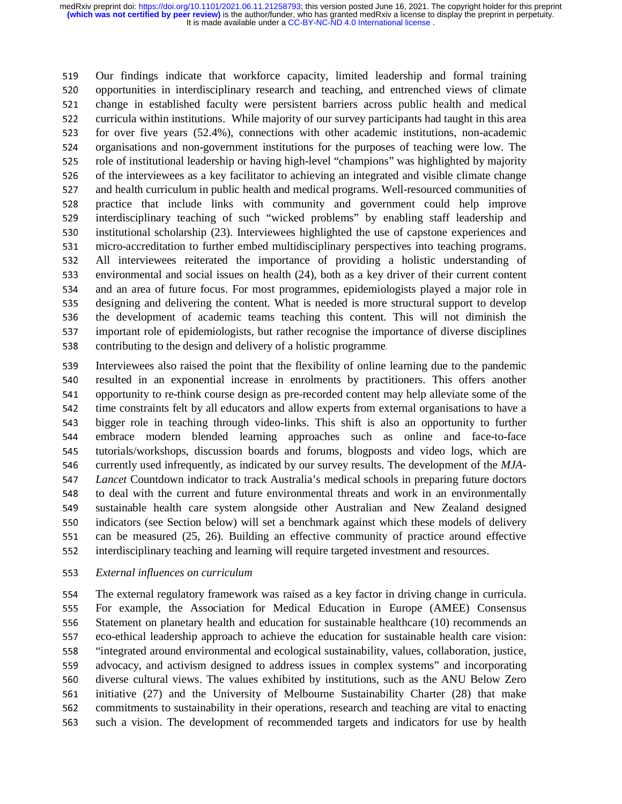519 Our findings indicate that workforce capacity, limited leadership and formal training<br>520 opportunities in interdisciplinary research and teaching, and entrenched views of climate 520 opportunities in interdisciplinary research and teaching, and entrenched views of climate<br>521 change in established faculty were persistent barriers across public health and medical 521 change in established faculty were persistent barriers across public health and medical<br>522 curricula within institutions. While majority of our survey participants had taught in this area 522 curricula within institutions. While majority of our survey participants had taught in this area<br>523 for over five years (52.4%) connections with other academic institutions non-academic 523 for over five years (52.4%), connections with other academic institutions, non-academic organisations and non-government institutions for the purposes of teaching were low. The 524 organisations and non-government institutions for the purposes of teaching were low. The role of institutional leadership or having high-level "champions" was highlighted by majority 525 role of institutional leadership or having high-level "champions" was highlighted by majority<br>526 of the interviewees as a key facilitator to achieving an integrated and visible climate change 526 of the interviewees as a key facilitator to achieving an integrated and visible climate change<br>527 and health curriculum in public health and medical programs. Well-resourced communities of 527 and health curriculum in public health and medical programs. Well-resourced communities of<br>528 practice that include links with community and government could help improve 528 practice that include links with community and government could help improve<br>529 interdisciplinary teaching of such "wicked problems" by enabling staff leadership and 529 interdisciplinary teaching of such "wicked problems" by enabling staff leadership and<br>530 institutional scholarship (23). Interviewees highlighted the use of capstone experiences and 530 institutional scholarship (23). Interviewees highlighted the use of capstone experiences and<br>531 micro-accreditation to further embed multidisciplinary perspectives into teaching programs. 531 micro-accreditation to further embed multidisciplinary perspectives into teaching programs.<br>532 All interviewees reiterated the importance of providing a holistic understanding of 532 All interviewees reiterated the importance of providing a holistic understanding of environmental and social issues on health (24), both as a key driver of their current content 533 environmental and social issues on health (24), both as a key driver of their current content<br>534 and an area of future focus. For most programmes, epidemiologists played a major role in 534 and an area of future focus. For most programmes, epidemiologists played a major role in<br>535 designing and delivering the content. What is needed is more structural support to develop 535 designing and delivering the content. What is needed is more structural support to develop<br>536 the development of academic teams teaching this content. This will not diminish the 536 the development of academic teams teaching this content. This will not diminish the important role of epidemiologists, but rather recognise the importance of diverse disciplines 537 important role of epidemiologists, but rather recognise the importance of diverse disciplines<br>538 contributing to the design and delivery of a holistic programme <sup>538</sup>contributing to the design and delivery of a holistic programme.

539 Interviewees also raised the point that the flexibility of online learning due to the pandemic<br>540 resulted in an exponential increase in enrolments by practitioners. This offers another 540 resulted in an exponential increase in enrolments by practitioners. This offers another<br>541 opportunity to re-think course design as pre-recorded content may help alleviate some of the 541 opportunity to re-think course design as pre-recorded content may help alleviate some of the<br>542 time constraints felt by all educators and allow experts from external organisations to have a 542 time constraints felt by all educators and allow experts from external organisations to have a<br>543 bigger role in teaching through video-links. This shift is also an opportunity to further 543 bigger role in teaching through video-links. This shift is also an opportunity to further<br>544 embrace modern blended learning approaches such as online and face-to-face 544 embrace modern blended learning approaches such as online and face-to-face<br>545 tutorials/workshops discussion boards and forums blogposts and video logs which are 545 tutorials/workshops, discussion boards and forums, blogposts and video logs, which are<br>546 currently used infrequently, as indicated by our survey results. The development of the *MJA*-546 currently used infrequently, as indicated by our survey results. The development of the *MJA*-<br>547 Lancet Countdown indicator to track Australia's medical schools in preparing future doctors <sup>547</sup>*Lancet* Countdown indicator to track Australia's medical schools in preparing future doctors 548 to deal with the current and future environmental threats and work in an environmentally<br>549 sustainable health care system alongside other Australian and New Zealand designed 549 sustainable health care system alongside other Australian and New Zealand designed<br>550 indicators (see Section below) will set a benchmark against which these models of delivery 550 indicators (see Section below) will set a benchmark against which these models of delivery<br>551 can be measured (25, 26). Building an effective community of practice around effective 551 can be measured (25, 26). Building an effective community of practice around effective<br>552 interdisciplinary teaching and learning will require targeted investment and resources. <sup>552</sup>interdisciplinary teaching and learning will require targeted investment and resources.

#### <sup>553</sup>*External influences on curriculum*

554 The external regulatory framework was raised as a key factor in driving change in curricula.<br>555 For example, the Association for Medical Education in Europe (AMEE) Consensus 555 For example, the Association for Medical Education in Europe (AMEE) Consensus<br>556 Statement on planetary health and education for sustainable healthcare (10) recommends an 556 Statement on planetary health and education for sustainable healthcare (10) recommends an eco-ethical leadership approach to achieve the education for sustainable health care vision: 557 eco-ethical leadership approach to achieve the education for sustainable health care vision:<br>558 "integrated around environmental and ecological sustainability, values, collaboration, iustice, 558 "integrated around environmental and ecological sustainability, values, collaboration, justice,<br>559 advocacy, and activism designed to address issues in complex systems" and incorporating 559 advocacy, and activism designed to address issues in complex systems" and incorporating<br>560 diverse cultural views. The values exhibited by institutions, such as the ANU Below Zero 560 diverse cultural views. The values exhibited by institutions, such as the ANU Below Zero<br>561 initiative (27) and the University of Melbourne Sustainability Charter (28) that make 561 initiative (27) and the University of Melbourne Sustainability Charter (28) that make<br>562 commitments to sustainability in their operations, research and teaching are vital to enacting 562 commitments to sustainability in their operations, research and teaching are vital to enacting<br>563 such a vision. The development of recommended targets and indicators for use by health such a vision. The development of recommended targets and indicators for use by health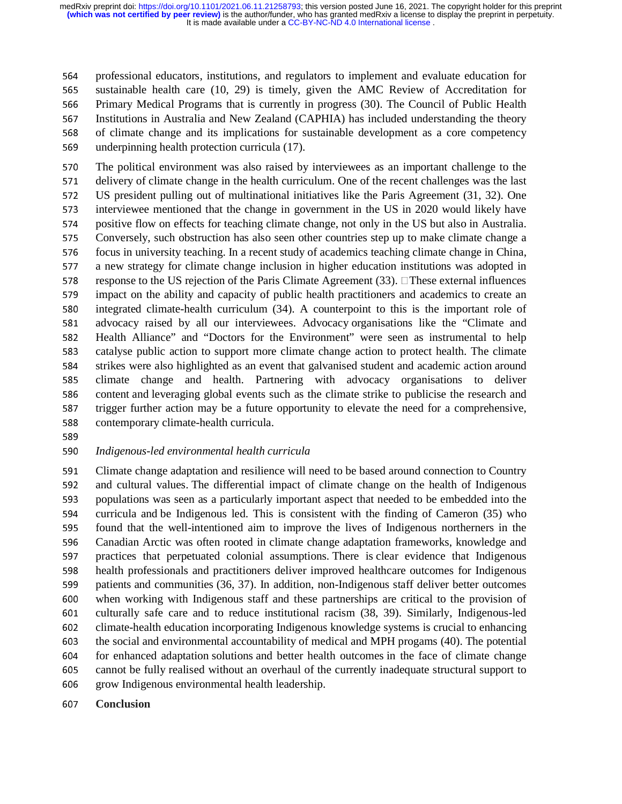564 professional educators, institutions, and regulators to implement and evaluate education for<br>565 sustainable health care (10, 29) is timely, given the AMC Review of Accreditation for 565 sustainable health care (10, 29) is timely, given the AMC Review of Accreditation for<br>566 Primary Medical Programs that is currently in progress (30). The Council of Public Health 566 Primary Medical Programs that is currently in progress (30). The Council of Public Health<br>567 Institutions in Australia and New Zealand (CAPHIA) has included understanding the theory 567 Institutions in Australia and New Zealand (CAPHIA) has included understanding the theory<br>568 of climate change and its implications for sustainable development as a core competency 568 of climate change and its implications for sustainable development as a core competency<br>569 underpinning health protection curricula (17).

569 underpinning health protection curricula (17).<br>570 The political environment was also raised by 570 The political environment was also raised by interviewees as an important challenge to the delivery of climate change in the health curriculum. One of the recent challenges was the last 571 delivery of climate change in the health curriculum. One of the recent challenges was the last<br>572 US president pulling out of multinational initiatives like the Paris Agreement (31, 32). One 572 US president pulling out of multinational initiatives like the Paris Agreement (31, 32). One<br>573 interviewee mentioned that the change in government in the US in 2020 would likely have 573 interviewee mentioned that the change in government in the US in 2020 would likely have<br>574 positive flow on effects for teaching climate change, not only in the US but also in Australia. 574 positive flow on effects for teaching climate change, not only in the US but also in Australia.<br>575 Conversely, such obstruction has also seen other countries step up to make climate change a 575 Conversely, such obstruction has also seen other countries step up to make climate change a<br>576 focus in university teaching. In a recent study of academics teaching climate change in China. 576 focus in university teaching. In a recent study of academics teaching climate change in China,<br>577 a new strategy for climate change inclusion in higher education institutions was adopted in 577 a new strategy for climate change inclusion in higher education institutions was adopted in  $578$  response to the US rejection of the Paris Climate Agreement (33). These external influences 578 response to the US rejection of the Paris Climate Agreement  $(33)$ .  $\Box$  These external influences impact on the ability and capacity of public health practitioners and academics to create an 579 impact on the ability and capacity of public health practitioners and academics to create an<br>580 integrated climate-health curriculum (34). A counterpoint to this is the important role of 580 integrated climate-health curriculum (34). A counterpoint to this is the important role of advocacy raised by all our interviewees. Advocacy organisations like the "Climate and 581 advocacy raised by all our interviewees. Advocacy organisations like the "Climate and<br>582 Health Alliance" and "Doctors for the Environment" were seen as instrumental to help 582 Health Alliance" and "Doctors for the Environment" were seen as instrumental to help<br>583 catalyse public action to support more climate change action to protect health. The climate 583 catalyse public action to support more climate change action to protect health. The climate<br>584 strikes were also highlighted as an event that galvanised student and academic action around 584 strikes were also highlighted as an event that galvanised student and academic action around<br>585 climate change and health. Partnering with advocacy organisations to deliver 585 climate change and health. Partnering with advocacy organisations to deliver<br>586 content and leveraging global events such as the climate strike to publicise the research and 586 content and leveraging global events such as the climate strike to publicise the research and<br>587 trigger further action may be a future opportunity to elevate the need for a comprehensive. 587 trigger further action may be a future opportunity to elevate the need for a comprehensive,<br>588 contemporary climate-health curricula. 588 contemporary climate-health curricula.<br>589

#### 590 <sup>590</sup>*Indigenous-led environmental health curricula*

591 Climate change adaptation and resilience will need to be based around connection to Country<br>592 and cultural values. The differential impact of climate change on the health of Indigenous 592 and cultural values. The differential impact of climate change on the health of Indigenous<br>593 populations was seen as a particularly important aspect that needed to be embedded into the 593 populations was seen as a particularly important aspect that needed to be embedded into the<br>594 curricula and be Indigenous led. This is consistent with the finding of Cameron (35) who 594 curricula and be Indigenous led. This is consistent with the finding of Cameron (35) who<br>595 found that the well-intentioned aim to improve the lives of Indigenous northerners in the 595 found that the well-intentioned aim to improve the lives of Indigenous northerners in the<br>596 Canadian Arctic was often rooted in climate change adaptation frameworks, knowledge and 596 Canadian Arctic was often rooted in climate change adaptation frameworks, knowledge and<br>597 practices that perpetuated colonial assumptions. There is clear evidence that Indigenous 597 practices that perpetuated colonial assumptions. There is clear evidence that Indigenous<br>598 health professionals and practitioners deliver improved healthcare outcomes for Indigenous 598 health professionals and practitioners deliver improved healthcare outcomes for Indigenous<br>599 patients and communities (36, 37). In addition, non-Indigenous staff deliver better outcomes 599 patients and communities (36, 37). In addition, non-Indigenous staff deliver better outcomes<br>600 when working with Indigenous staff and these partnerships are critical to the provision of 600 when working with Indigenous staff and these partnerships are critical to the provision of 601 culturally safe care and to reduce institutional racism (38, 39). Similarly, Indigenous-led 601 culturally safe care and to reduce institutional racism (38, 39). Similarly, Indigenous-led<br>602 climate-health education incorporating Indigenous knowledge systems is crucial to enhancing 602 climate-health education incorporating Indigenous knowledge systems is crucial to enhancing<br>603 the social and environmental accountability of medical and MPH progams (40). The potential 603 the social and environmental accountability of medical and MPH progams (40). The potential<br>604 for enhanced adaptation solutions and better health outcomes in the face of climate change 604 for enhanced adaptation solutions and better health outcomes in the face of climate change<br>605 cannot be fully realised without an overhaul of the currently inadequate structural support to 605 cannot be fully realised without an overhaul of the currently inadequate structural support to 606 grow Indigenous environmental health leadership. grow Indigenous environmental health leadership.

<sup>607</sup>**Conclusion**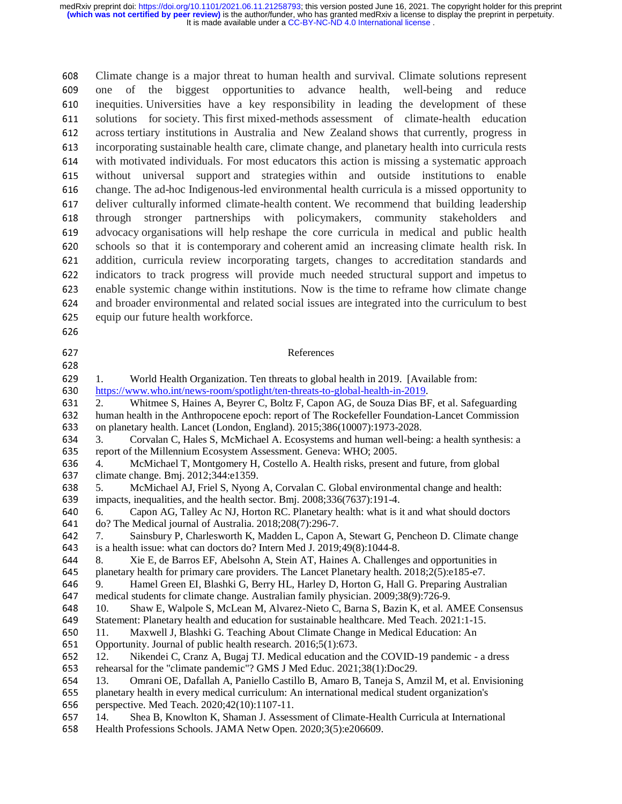608 Climate change is a major threat to human health and survival. Climate solutions represent 609 one of the biggest opportunities to advance health, well-being and reduce 609 one of the biggest opportunities to advance health, 610 inequities. Universities have a key responsibility in leading 610 inequities. Universities have a key responsibility in leading the development of these<br>611 solutions for society. This first mixed-methods assessment of climate-health education 611 solutions for society. This first mixed-methods assessment of climate-health education<br>612 across terriary institutions in Australia and New Zealand shows that currently progress in 612 across tertiary institutions in Australia and New Zealand shows that currently, progress in incorporating sustainable health care, climate change, and planetary health into curricula rests 613 incorporating sustainable health care, climate change, and planetary health into curricula rests<br>614 with motivated individuals. For most educators this action is missing a systematic approach 614 with motivated individuals. For most educators this action is missing a systematic approach<br>615 without universal support and strategies within and outside institutions to enable 615 without universal support and strategies within and outside institutions to enable<br>616 change. The ad-hoc Indigenous-led environmental health curricula is a missed opportunity to 616 change. The ad-hoc Indigenous-led environmental health curricula is a missed opportunity to<br>617 deliver culturally informed climate-health content. We recommend that building leadership 617 deliver culturally informed climate-health content. We recommend that building leadership<br>618 through stronger partnerships with policymakers, community stakeholders and 618 through stronger partnerships with policymakers, community stakeholders advocacy organisations will help reshape the core curricula in medical and public l 619 advocacy organisations will help reshape the core curricula in medical and public health schools so that it is contemporary and coherent amid an increasing climate health risk. In 620 schools so that it is contemporary and coherent amid an increasing climate health risk. In<br>621 addition, curricula review incorporating targets, changes to accreditation standards and 621 addition, curricula review incorporating targets, changes to accreditation standards and<br>622 indicators to track progress will provide much needed structural support and impetus to 622 indicators to track progress will provide much needed structural support and impetus to enable systemic change within institutions. Now is the time to reframe how climate change 623 enable systemic change within institutions. Now is the time to reframe how climate change<br>624 and broader environmental and related social issues are integrated into the curriculum to best 624 and broader environmental and related social issues are integrated into the curriculum to best<br>625 equip our future health workforce. 625 equip our future health workforce.<br>626

626

# 627<br>
627<br>
628

| 629 | World Health Organization. Ten threats to global health in 2019. [Available from:<br>1.           |
|-----|---------------------------------------------------------------------------------------------------|
| 630 | https://www.who.int/news-room/spotlight/ten-threats-to-global-health-in-2019.                     |
| 631 | Whitmee S, Haines A, Beyrer C, Boltz F, Capon AG, de Souza Dias BF, et al. Safeguarding<br>2.     |
| 632 | human health in the Anthropocene epoch: report of The Rockefeller Foundation-Lancet Commission    |
| 633 | on planetary health. Lancet (London, England). 2015;386(10007):1973-2028.                         |
| 634 | Corvalan C, Hales S, McMichael A. Ecosystems and human well-being: a health synthesis: a<br>3.    |
| 635 | report of the Millennium Ecosystem Assessment. Geneva: WHO; 2005.                                 |
| 636 | McMichael T, Montgomery H, Costello A. Health risks, present and future, from global<br>4.        |
| 637 | climate change. Bmj. 2012;344:e1359.                                                              |
| 638 | McMichael AJ, Friel S, Nyong A, Corvalan C. Global environmental change and health:<br>5.         |
| 639 | impacts, inequalities, and the health sector. Bmj. 2008;336(7637):191-4.                          |
| 640 | Capon AG, Talley Ac NJ, Horton RC. Planetary health: what is it and what should doctors<br>6.     |
| 641 | do? The Medical journal of Australia. 2018;208(7):296-7.                                          |
| 642 | Sainsbury P, Charlesworth K, Madden L, Capon A, Stewart G, Pencheon D. Climate change<br>7.       |
| 643 | is a health issue: what can doctors do? Intern Med J. 2019;49(8):1044-8.                          |
| 644 | Xie E, de Barros EF, Abelsohn A, Stein AT, Haines A. Challenges and opportunities in<br>8.        |
| 645 | planetary health for primary care providers. The Lancet Planetary health. 2018;2(5):e185-e7.      |
| 646 | Hamel Green EI, Blashki G, Berry HL, Harley D, Horton G, Hall G. Preparing Australian<br>9.       |
| 647 | medical students for climate change. Australian family physician. 2009;38(9):726-9.               |
| 648 | Shaw E, Walpole S, McLean M, Alvarez-Nieto C, Barna S, Bazin K, et al. AMEE Consensus<br>10.      |
| 649 | Statement: Planetary health and education for sustainable healthcare. Med Teach. 2021:1-15.       |
| 650 | Maxwell J, Blashki G. Teaching About Climate Change in Medical Education: An<br>11.               |
| 651 | Opportunity. Journal of public health research. 2016;5(1):673.                                    |
| 652 | 12.<br>Nikendei C, Cranz A, Bugaj TJ. Medical education and the COVID-19 pandemic - a dress       |
| 653 | rehearsal for the "climate pandemic"? GMS J Med Educ. 2021;38(1):Doc29.                           |
| 654 | Omrani OE, Dafallah A, Paniello Castillo B, Amaro B, Taneja S, Amzil M, et al. Envisioning<br>13. |
| 655 | planetary health in every medical curriculum: An international medical student organization's     |
| 656 | perspective. Med Teach. 2020;42(10):1107-11.                                                      |
| 657 | Shea B, Knowlton K, Shaman J. Assessment of Climate-Health Curricula at International<br>14.      |
| 658 | Health Professions Schools. JAMA Netw Open. 2020;3(5):e206609.                                    |
|     |                                                                                                   |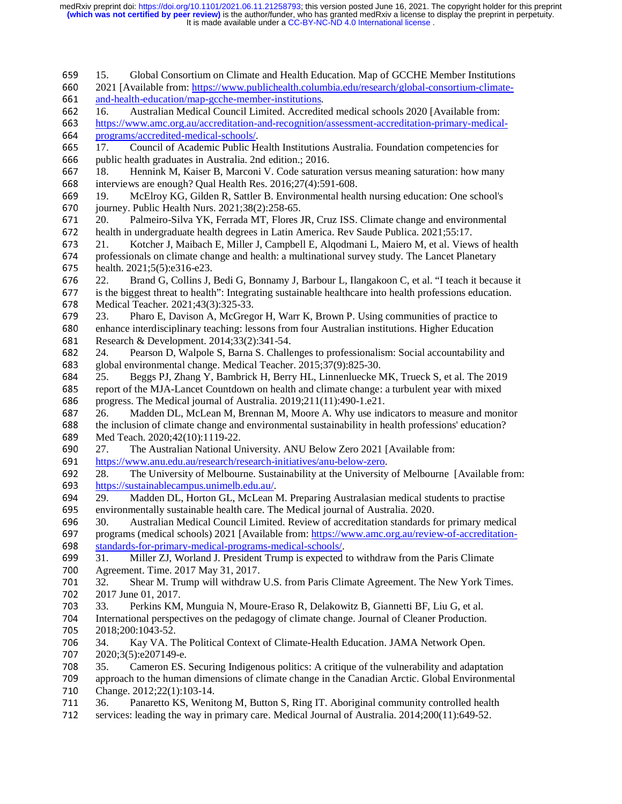659 15. Global Consortium on Climate and Health Education. Map of GCCHE Member Institutions<br>660 2021 [Available from: https://www.publichealth.columbia.edu/research/global-consortium-climate-660 2021 [Available from: https://www.publichealth.columbia.edu/research/global-consortium-climate-<br>661 and-health-education/map-gcche-member-institutions. 661 and-health-education/map-gcche-member-institutions.<br>662 16. Australian Medical Council Limited. Accredit 662 16. Australian Medical Council Limited. Accredited medical schools 2020 [Available from:<br>663 https://www.amc.org.au/accreditation-and-recognition/assessment-accreditation-primary-medica 663 https://www.amc.org.au/accreditation-and-recognition/assessment-accreditation-primary-medical-<br>664 programs/accredited-medical-schools/ 664 programs/accredited-medical-schools/.<br>665 17. Council of Academic Public H 665 17. Council of Academic Public Health Institutions Australia. Foundation competencies for 666 public health graduates in Australia. 2nd edition.: 2016. 666 public health graduates in Australia. 2nd edition.; 2016.<br>667 18. Hennink M. Kaiser B. Marconi V. Code saturati 667 18. Hennink M, Kaiser B, Marconi V. Code saturation versus meaning saturation: how many 668 interviews are enough? Qual Health Res. 2016;27(4):591-608. 668 interviews are enough? Qual Health Res. 2016;27(4):591-608.<br>669 19. McElroy KG, Gilden R, Sattler B. Environmental heal 669 19. McElroy KG, Gilden R, Sattler B. Environmental health nursing education: One school's 670 journey. Public Health Nurs. 2021;38(2):258-65. 670 journey. Public Health Nurs. 2021;38(2):258-65.<br>671 20. Palmeiro-Silva YK, Ferrada MT, Flores. 671 20. Palmeiro-Silva YK, Ferrada MT, Flores JR, Cruz ISS. Climate change and environmental 672 health in undergraduate health degrees in Latin America. Rev Saude Publica. 2021;55:17. 672 health in undergraduate health degrees in Latin America. Rev Saude Publica. 2021;55:17.<br>673 21. Kotcher J. Maibach E. Miller J. Campbell E. Algodmani L. Maiero M. et al. View 673 21. Kotcher J, Maibach E, Miller J, Campbell E, Alqodmani L, Maiero M, et al. Views of health professionals on climate change and health: a multinational survey study. The Lancet Planetary 674 professionals on climate change and health: a multinational survey study. The Lancet Planetary health.  $2021;5(5):e316-e23$ . 675 health. 2021;5(5):e316-e23.<br>676 22. Brand G, Collins J, 676 22. Brand G, Collins J, Bedi G, Bonnamy J, Barbour L, Ilangakoon C, et al. "I teach it because it 677 is the biggest threat to health": Integrating sustainable healthcare into health professions education. 677 is the biggest threat to health": Integrating sustainable healthcare into health professions education.<br>678 Medical Teacher. 2021:43(3):325-33. 678 Medical Teacher. 2021;43(3):325-33.<br>679 23. Pharo E, Davison A, McGreg 679 23. Pharo E, Davison A, McGregor H, Warr K, Brown P. Using communities of practice to 680 enhance interdisciplinary teaching: lessons from four Australian institutions. Higher Education 680 enhance interdisciplinary teaching: lessons from four Australian institutions. Higher Education 681 Research & Development. 2014:33(2):341-54. 681 Research & Development. 2014;33(2):341-54.<br>682 24. Pearson D, Walpole S, Barna S. Challe 682 24. Pearson D, Walpole S, Barna S. Challenges to professionalism: Social accountability and <br>683 elobal environmental change. Medical Teacher. 2015:37(9):825-30. 683 global environmental change. Medical Teacher. 2015;37(9):825-30.<br>684 25. Beggs PJ, Zhang Y, Bambrick H, Berry HL, Linnenluecke N 684 25. Beggs PJ, Zhang Y, Bambrick H, Berry HL, Linnenluecke MK, Trueck S, et al. The 2019<br>685 report of the MJA-Lancet Countdown on health and climate change: a turbulent year with mixed 685 report of the MJA-Lancet Countdown on health and climate change: a turbulent year with mixed progress. The Medical journal of Australia.  $2019:211(11):490-1.e21$ . 686 progress. The Medical journal of Australia. 2019;211(11):490-1.e21.<br>687 26. Madden DL, McLean M, Brennan M, Moore A. Why use ind 687 26. Madden DL, McLean M, Brennan M, Moore A. Why use indicators to measure and monitor the inclusion of climate change and environmental sustainability in health professions' education? 688 the inclusion of climate change and environmental sustainability in health professions' education?<br>689 Med Teach. 2020:42(10):1119-22. 689 Med Teach. 2020;42(10):1119-22.<br>690 27. The Australian National U 690 27. The Australian National University. ANU Below Zero 2021 [Available from:<br>691 https://www.anu.edu.au/research/research-initiatives/anu-below-zero. 691 https://www.anu.edu.au/research/research-initiatives/anu-below-zero.<br>692 28. The University of Melbourne. Sustainability at the University 692 28. The University of Melbourne. Sustainability at the University of Melbourne [Available from: 693 https://sustainablecampus.unimelb.edu.au/. 693 https://sustainablecampus.unimelb.edu.au/.<br>694 29. Madden DL, Horton GL, McLean l 694 29. Madden DL, Horton GL, McLean M. Preparing Australasian medical students to practise<br>695 environmentally sustainable health care. The Medical iournal of Australia. 2020. 695 environmentally sustainable health care. The Medical journal of Australia. 2020.<br>696 30. Australian Medical Council Limited. Review of accreditation standards f 696 30. Australian Medical Council Limited. Review of accreditation standards for primary medical<br>697 programs (medical schools) 2021 [Available from: https://www.amc.org.au/review-of-accreditation-697 programs (medical schools) 2021 [Available from: https://www.amc.org.au/review-of-accreditation-<br>698 standards-for-primary-medical-programs-medical-schools/. 698 standards-for-primary-medical-programs-medical-schools/.<br>699 31. Miller ZJ, Worland J. President Trump is expected 699 31. Miller ZJ, Worland J. President Trump is expected to withdraw from the Paris Climate 700 Agreement. Time. 2017 May 31, 2017. 700 Agreement. Time. 2017 May 31, 2017.<br>701 32. Shear M. Trump will withdraw 701 32. Shear M. Trump will withdraw U.S. from Paris Climate Agreement. The New York Times.<br>702 2017 June 01, 2017. 702 2017 June 01, 2017.<br>703 33. Perkins KM. 703 33. Perkins KM, Munguia N, Moure-Eraso R, Delakowitz B, Giannetti BF, Liu G, et al.<br>704 International perspectives on the pedagogy of climate change. Journal of Cleaner Production. 704 International perspectives on the pedagogy of climate change. Journal of Cleaner Production.<br>705 2018;200:1043-52. 705 2018;200:1043-52.<br>706 34. Kay VA. T 706 34. Kay VA. The Political Context of Climate-Health Education. JAMA Network Open.<br>707 2020;3(5):e207149-e. 707 2020;3(5):e207149-e.<br>708 35. Cameron ES. 708 35. Cameron ES. Securing Indigenous politics: A critique of the vulnerability and adaptation<br>709 approach to the human dimensions of climate change in the Canadian Arctic. Global Environmen 709 approach to the human dimensions of climate change in the Canadian Arctic. Global Environmental 710 Change.  $2012:22(1):103-14$ . 710 Change. 2012;22(1):103-14.<br>711 36. Panaretto KS, Wenit 711 36. Panaretto KS, Wenitong M, Button S, Ring IT. Aboriginal community controlled health 712 services: leading the way in primary care. Medical Journal of Australia. 2014:200(11):649-52. <sup>712</sup>services: leading the way in primary care. Medical Journal of Australia. 2014;200(11):649-52.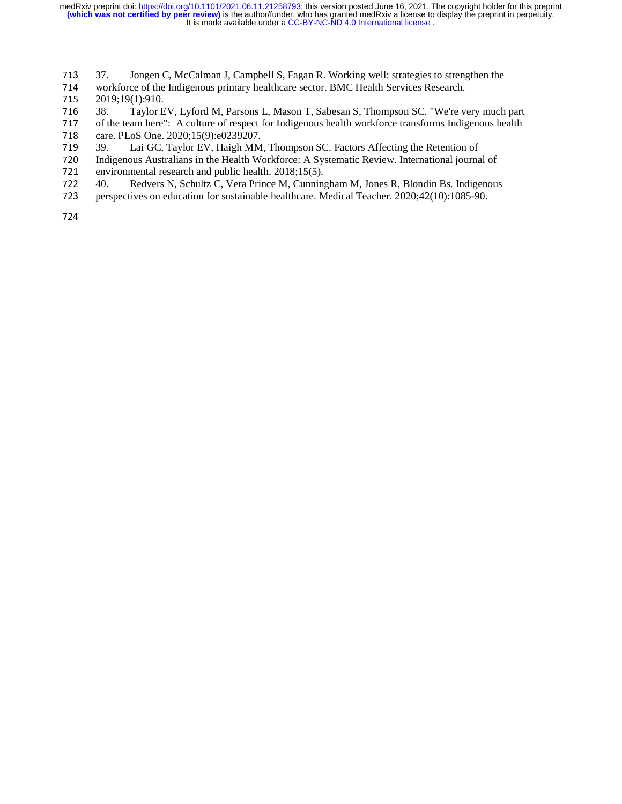- 713 37. Jongen C, McCalman J, Campbell S, Fagan R. Working well: strategies to strengthen the workforce of the Indigenous primary healthcare sector. BMC Health Services Research.
- 714 workforce of the Indigenous primary healthcare sector. BMC Health Services Research.<br>715 2019;19(1):910.
- 715 2019;19(1):910.<br>716 38. Taylor E
- 716 38. Taylor EV, Lyford M, Parsons L, Mason T, Sabesan S, Thompson SC. "We're very much part of the team here": A culture of respect for Indigenous health workforce transforms Indigenous health
- 717 of the team here": A culture of respect for Indigenous health workforce transforms Indigenous health care. PLoS One. 2020;15(9):e0239207.
- 718 care. PLoS One. 2020;15(9):e0239207.<br>719 39. Lai GC, Taylor EV, Haigh MM
- 719 39. Lai GC, Taylor EV, Haigh MM, Thompson SC. Factors Affecting the Retention of 720 Indigenous Australians in the Health Workforce: A Systematic Review. International journal
- 720 Indigenous Australians in the Health Workforce: A Systematic Review. International journal of environmental research and public health. 2018;15(5).
- 721 environmental research and public health. 2018;15(5).<br>722 40. Redvers N, Schultz C, Vera Prince M, Cunning
- 722 40. Redvers N, Schultz C, Vera Prince M, Cunningham M, Jones R, Blondin Bs. Indigenous<br>723 perspectives on education for sustainable healthcare. Medical Teacher. 2020;42(10):1085-90.
- <sup>723</sup>perspectives on education for sustainable healthcare. Medical Teacher. 2020;42(10):1085-90.
-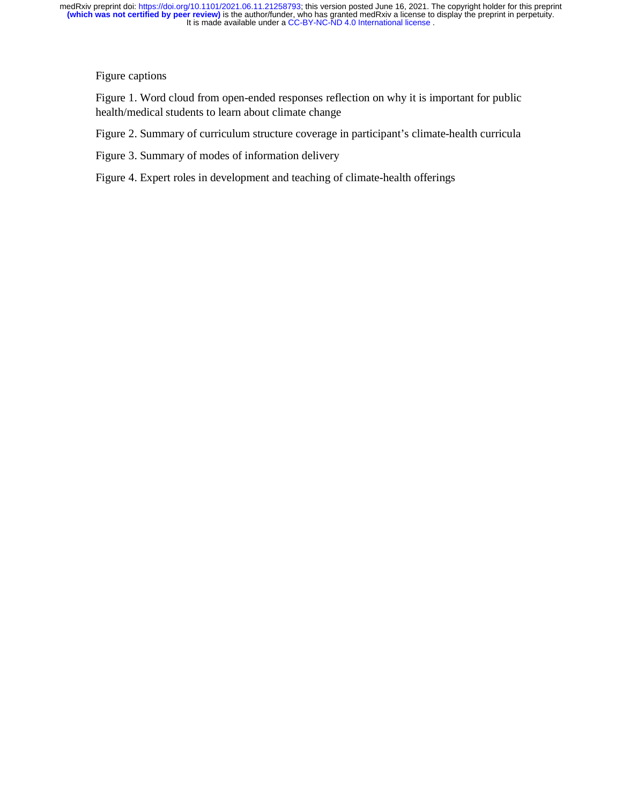#### Figure captions

Figure 1. Word cloud from open-ended responses reflection on why it is important for public health/medical students to learn about climate change

Figure 2. Summary of curriculum structure coverage in participant's climate-health curricula

Figure 3. Summary of modes of information delivery

Figure 4. Expert roles in development and teaching of climate-health offerings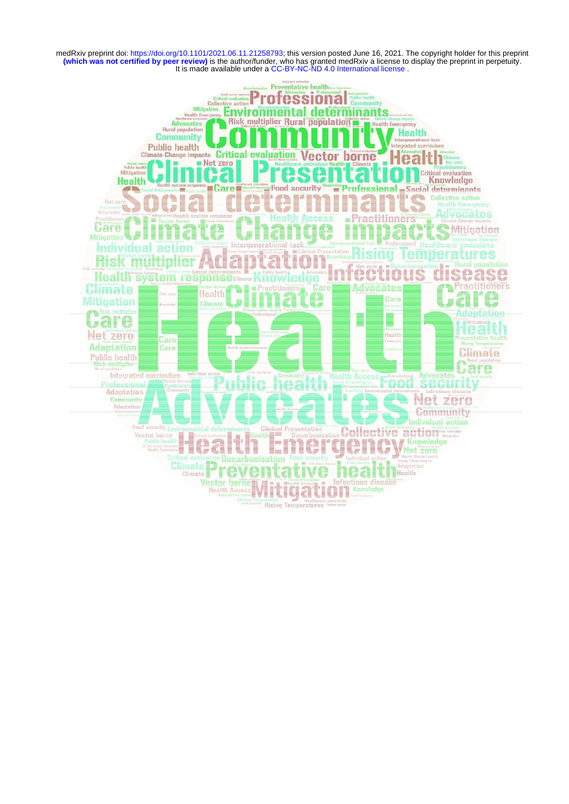

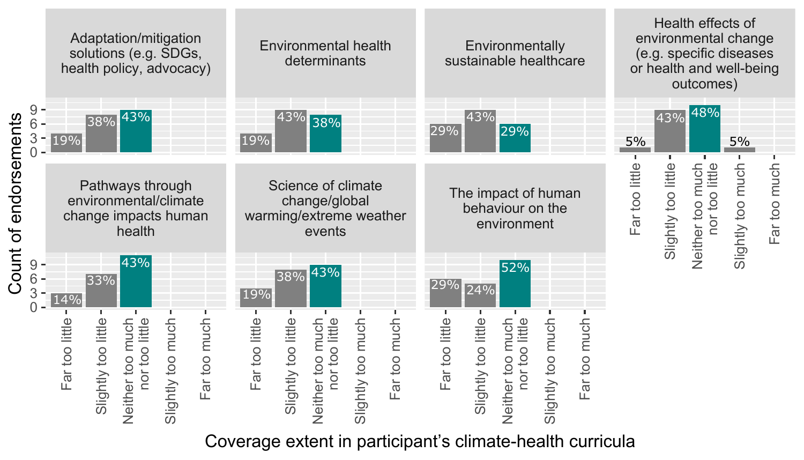

Coverage extent in participant's climate-health curricula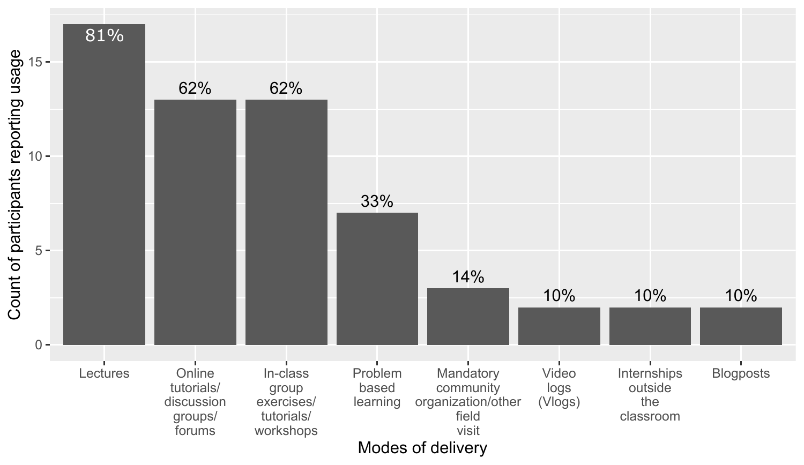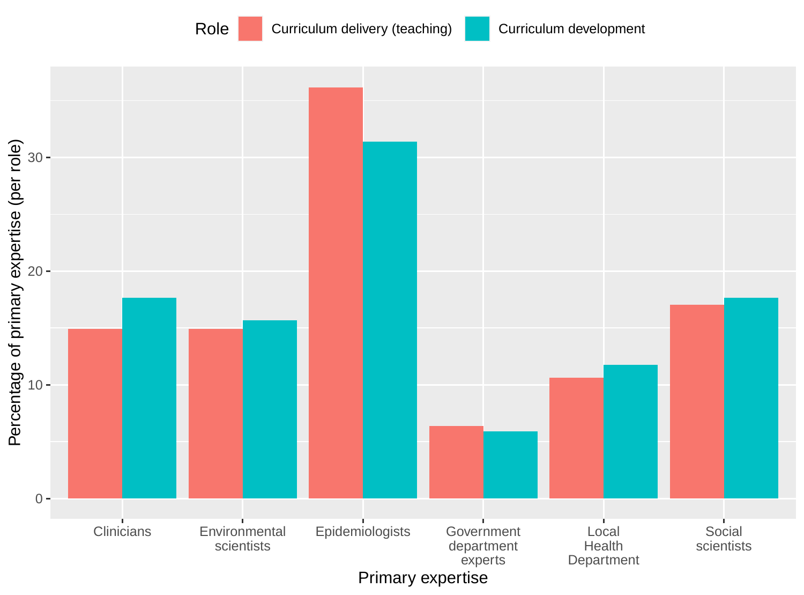